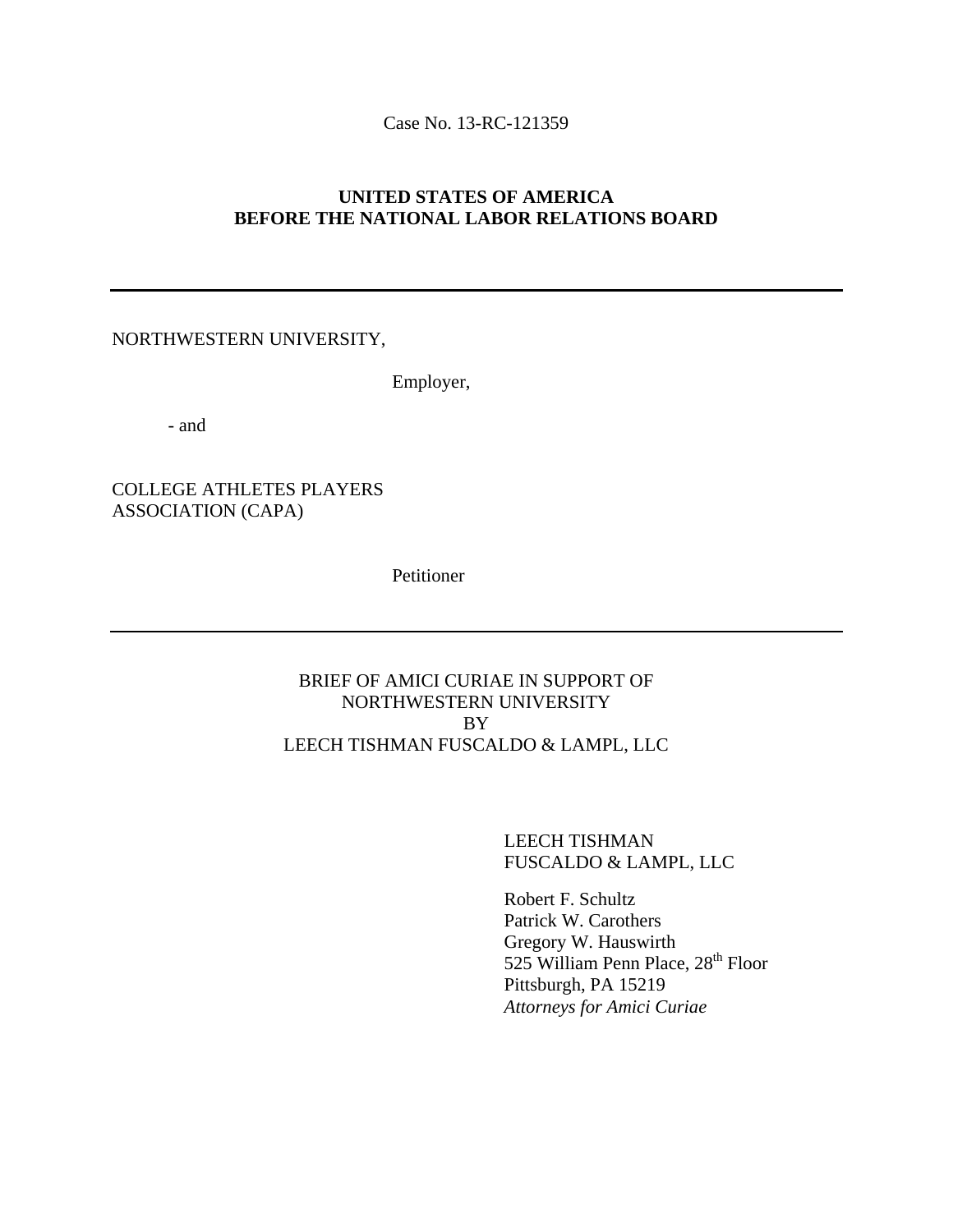Case No. 13-RC-121359

# **UNITED STATES OF AMERICA BEFORE THE NATIONAL LABOR RELATIONS BOARD**

#### NORTHWESTERN UNIVERSITY,

Employer,

- and

# COLLEGE ATHLETES PLAYERS ASSOCIATION (CAPA)

Petitioner

# BRIEF OF AMICI CURIAE IN SUPPORT OF NORTHWESTERN UNIVERSITY BY LEECH TISHMAN FUSCALDO & LAMPL, LLC

LEECH TISHMAN FUSCALDO & LAMPL, LLC

Robert F. Schultz Patrick W. Carothers Gregory W. Hauswirth 525 William Penn Place, 28<sup>th</sup> Floor Pittsburgh, PA 15219 *Attorneys for Amici Curiae*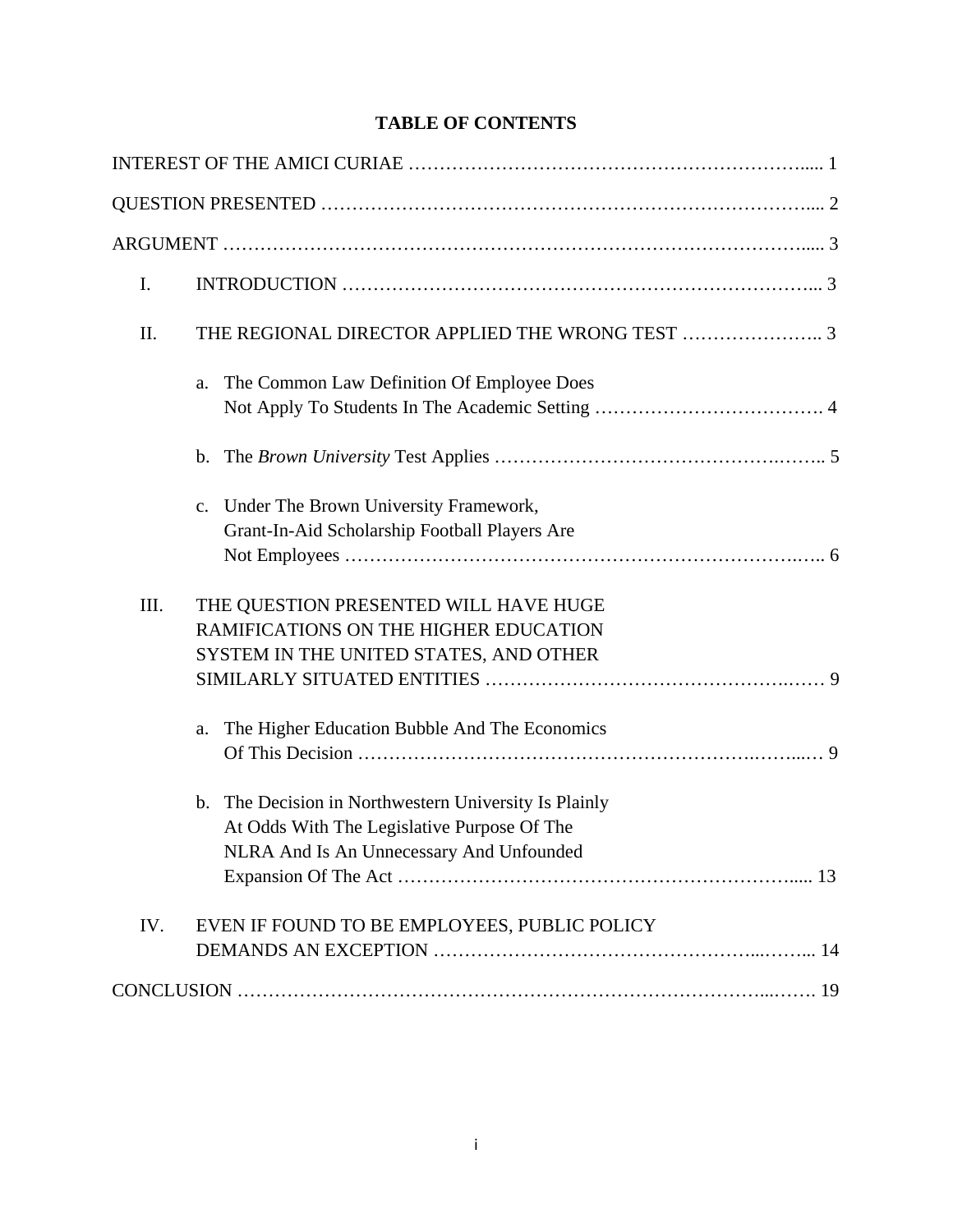# **TABLE OF CONTENTS**

| I.<br>II.<br>The Common Law Definition Of Employee Does<br>a.<br>c. Under The Brown University Framework,<br>Grant-In-Aid Scholarship Football Players Are<br>III.<br>THE QUESTION PRESENTED WILL HAVE HUGE<br>RAMIFICATIONS ON THE HIGHER EDUCATION<br>SYSTEM IN THE UNITED STATES, AND OTHER<br>The Higher Education Bubble And The Economics<br>a.<br>b. The Decision in Northwestern University Is Plainly<br>At Odds With The Legislative Purpose Of The<br>NLRA And Is An Unnecessary And Unfounded |  |
|-----------------------------------------------------------------------------------------------------------------------------------------------------------------------------------------------------------------------------------------------------------------------------------------------------------------------------------------------------------------------------------------------------------------------------------------------------------------------------------------------------------|--|
|                                                                                                                                                                                                                                                                                                                                                                                                                                                                                                           |  |
|                                                                                                                                                                                                                                                                                                                                                                                                                                                                                                           |  |
|                                                                                                                                                                                                                                                                                                                                                                                                                                                                                                           |  |
|                                                                                                                                                                                                                                                                                                                                                                                                                                                                                                           |  |
|                                                                                                                                                                                                                                                                                                                                                                                                                                                                                                           |  |
|                                                                                                                                                                                                                                                                                                                                                                                                                                                                                                           |  |
|                                                                                                                                                                                                                                                                                                                                                                                                                                                                                                           |  |
|                                                                                                                                                                                                                                                                                                                                                                                                                                                                                                           |  |
|                                                                                                                                                                                                                                                                                                                                                                                                                                                                                                           |  |
|                                                                                                                                                                                                                                                                                                                                                                                                                                                                                                           |  |
|                                                                                                                                                                                                                                                                                                                                                                                                                                                                                                           |  |
| IV.<br>EVEN IF FOUND TO BE EMPLOYEES, PUBLIC POLICY                                                                                                                                                                                                                                                                                                                                                                                                                                                       |  |
|                                                                                                                                                                                                                                                                                                                                                                                                                                                                                                           |  |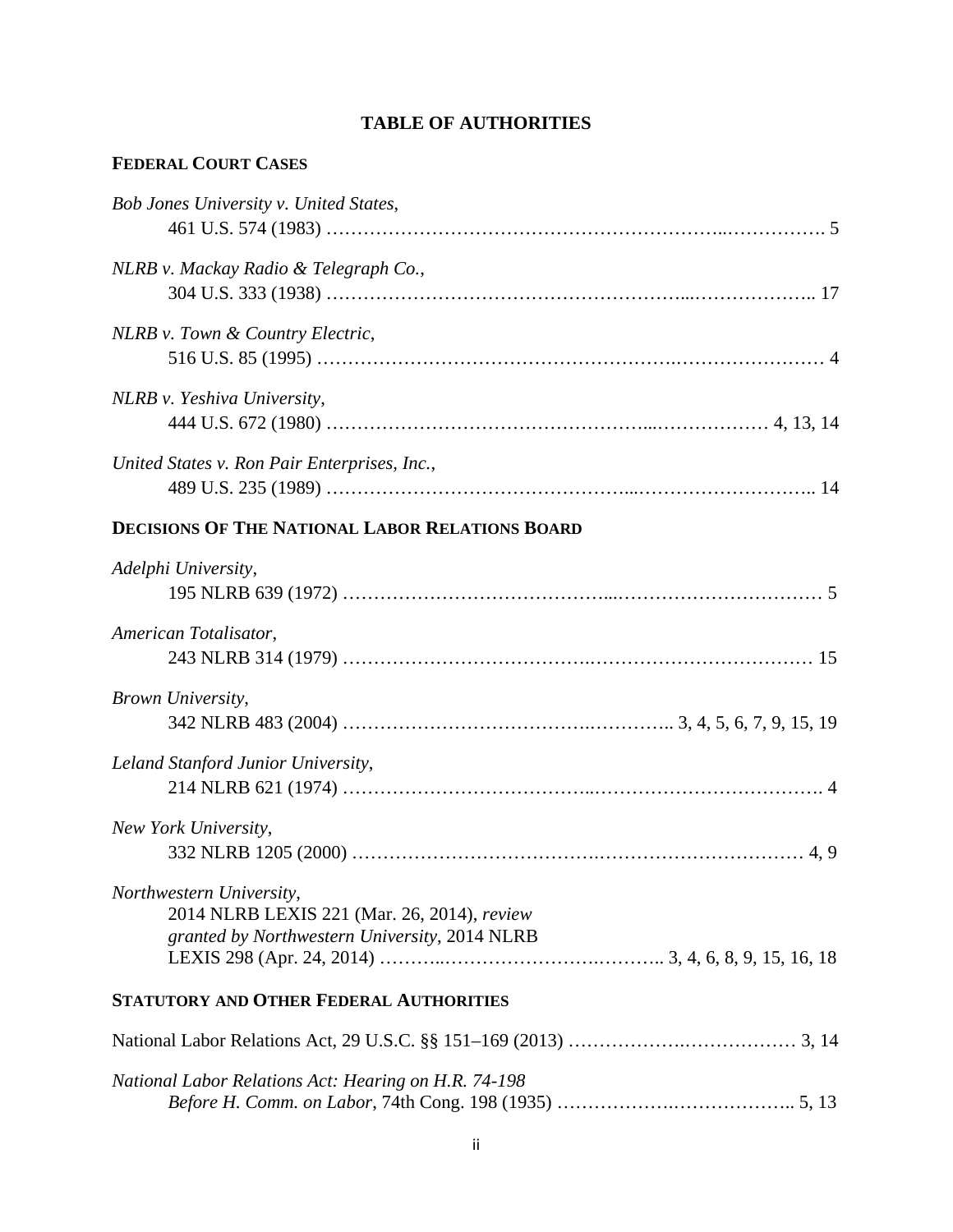# **TABLE OF AUTHORITIES**

# **FEDERAL COURT CASES**

| Bob Jones University v. United States,       |  |
|----------------------------------------------|--|
|                                              |  |
| NLRB v. Mackay Radio & Telegraph Co.,        |  |
|                                              |  |
| NLRB v. Town & Country Electric,             |  |
|                                              |  |
| NLRB v. Yeshiva University,                  |  |
|                                              |  |
| United States v. Ron Pair Enterprises, Inc., |  |
|                                              |  |
|                                              |  |

# **DECISIONS OF THE NATIONAL LABOR RELATIONS BOARD**

| Adelphi University,                                  |
|------------------------------------------------------|
|                                                      |
| American Totalisator,                                |
|                                                      |
| Brown University,                                    |
|                                                      |
| Leland Stanford Junior University,                   |
|                                                      |
| New York University,                                 |
|                                                      |
| Northwestern University,                             |
| 2014 NLRB LEXIS 221 (Mar. 26, 2014), review          |
| granted by Northwestern University, 2014 NLRB        |
| <b>STATUTORY AND OTHER FEDERAL AUTHORITIES</b>       |
|                                                      |
| National Labor Relations Act: Hearing on H.R. 74-198 |

| anonal Labor Retainons rich from my on frire / 1 190 |  |
|------------------------------------------------------|--|
|                                                      |  |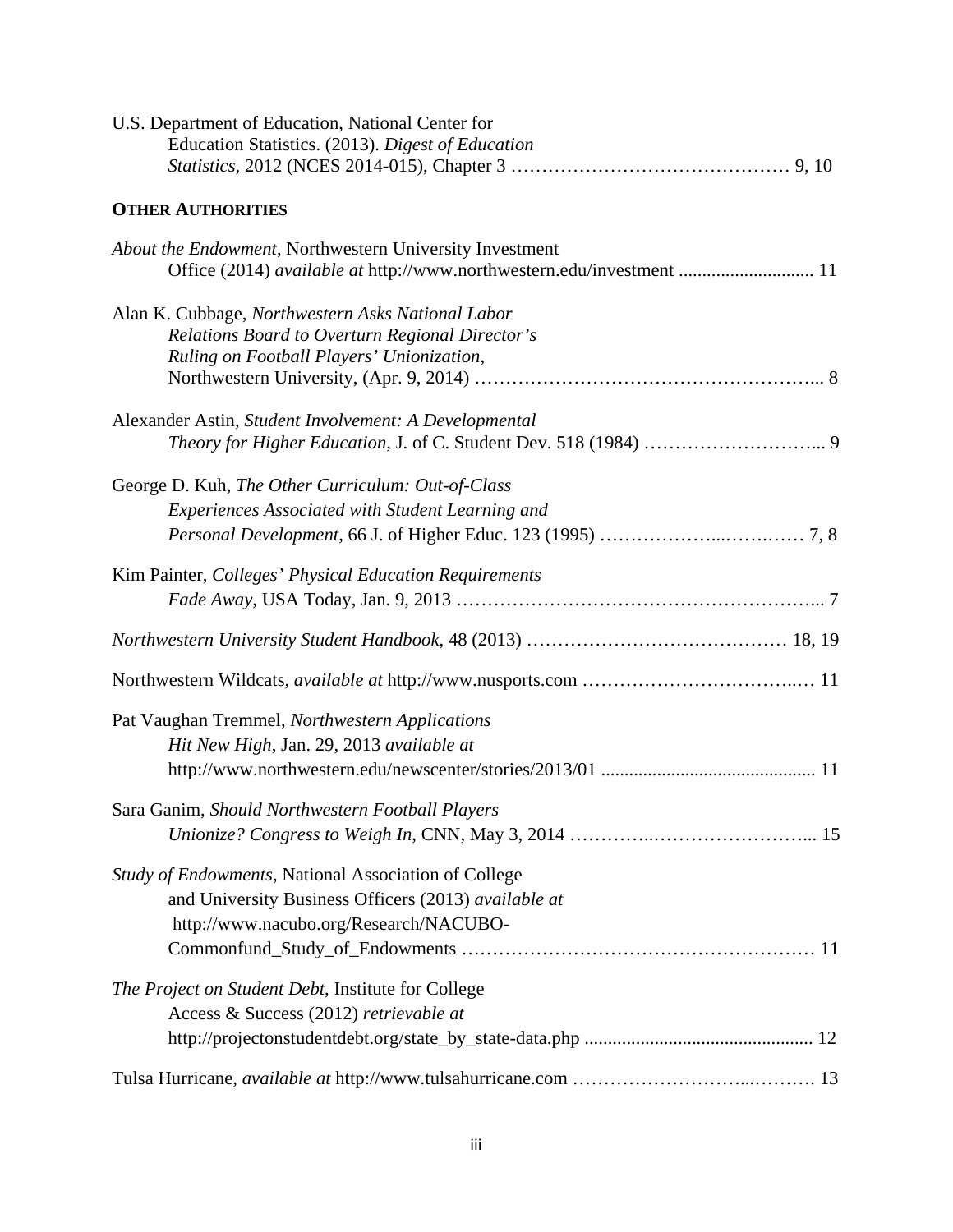| U.S. Department of Education, National Center for<br>Education Statistics. (2013). Digest of Education                                                 |
|--------------------------------------------------------------------------------------------------------------------------------------------------------|
| <b>OTHER AUTHORITIES</b>                                                                                                                               |
| About the Endowment, Northwestern University Investment<br>Office (2014) available at http://www.northwestern.edu/investment  11                       |
| Alan K. Cubbage, Northwestern Asks National Labor<br>Relations Board to Overturn Regional Director's<br>Ruling on Football Players' Unionization,      |
| Alexander Astin, Student Involvement: A Developmental                                                                                                  |
| George D. Kuh, The Other Curriculum: Out-of-Class<br><b>Experiences Associated with Student Learning and</b>                                           |
| Kim Painter, Colleges' Physical Education Requirements                                                                                                 |
|                                                                                                                                                        |
|                                                                                                                                                        |
| Pat Vaughan Tremmel, Northwestern Applications<br>Hit New High, Jan. 29, 2013 available at                                                             |
| Sara Ganim, Should Northwestern Football Players                                                                                                       |
| Study of Endowments, National Association of College<br>and University Business Officers (2013) available at<br>http://www.nacubo.org/Research/NACUBO- |
| The Project on Student Debt, Institute for College<br>Access & Success (2012) retrievable at                                                           |
|                                                                                                                                                        |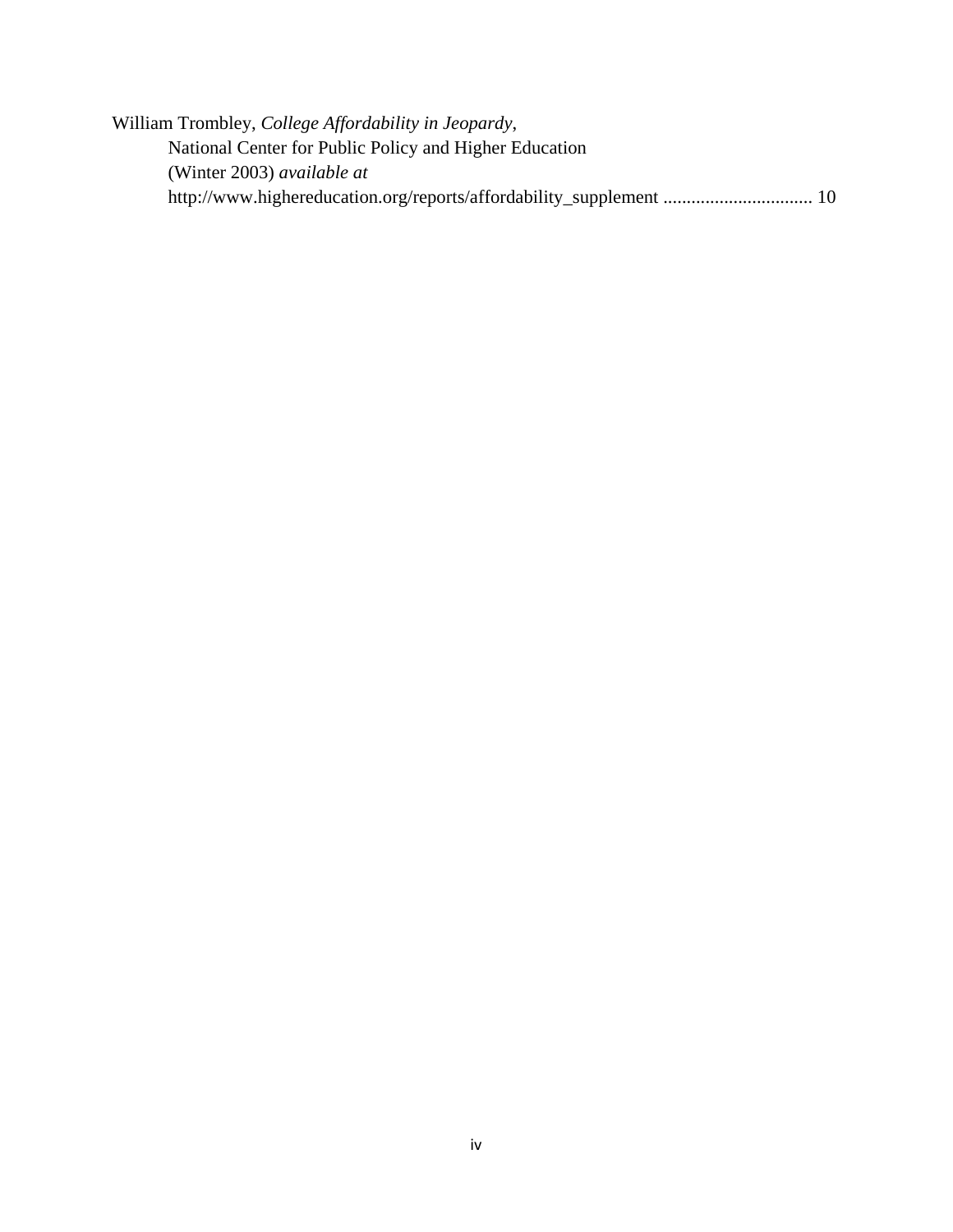William Trombley, *College Affordability in Jeopardy*, National Center for Public Policy and Higher Education (Winter 2003) *available at* http://www.highereducation.org/reports/affordability\_supplement ................................ 10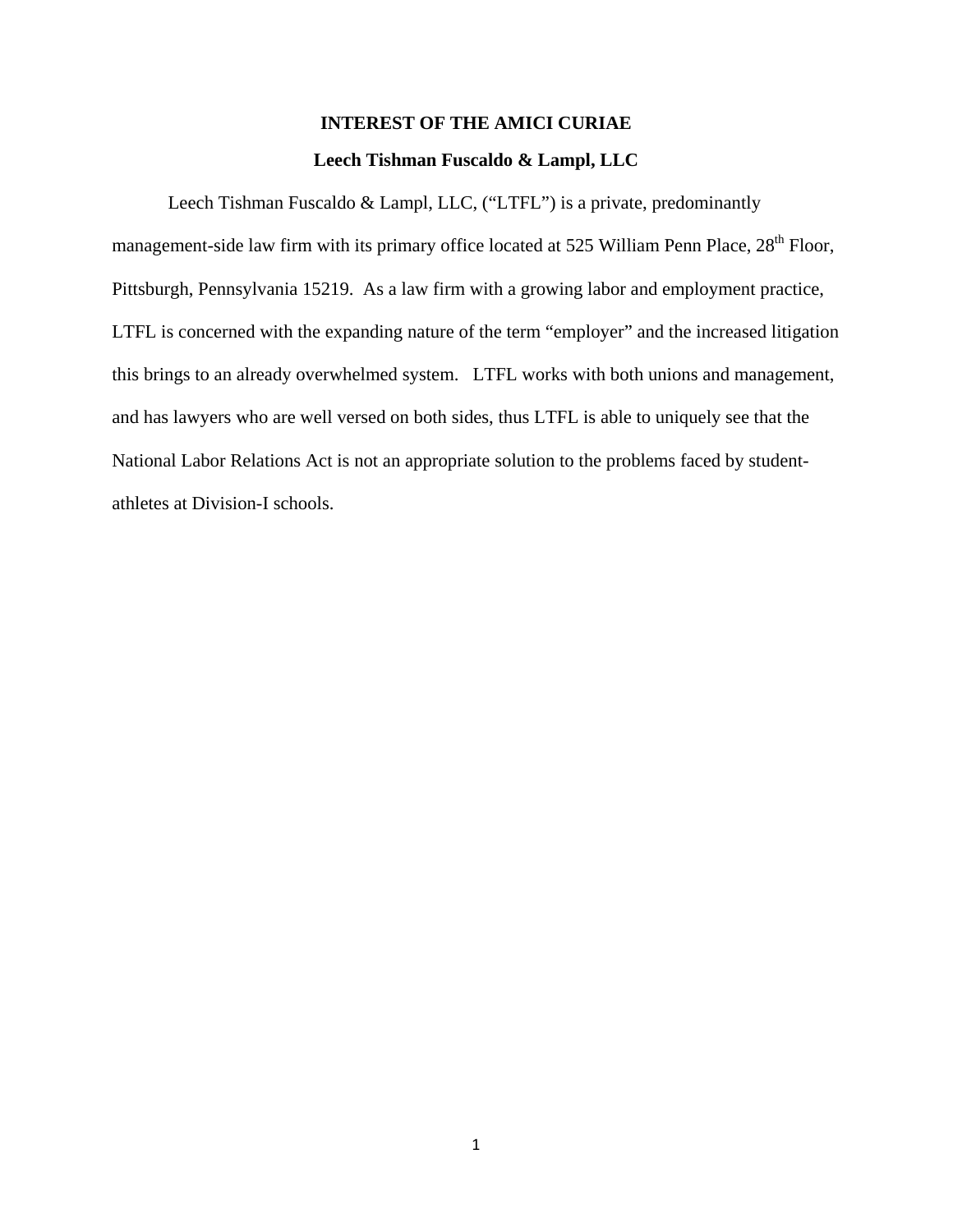# **INTEREST OF THE AMICI CURIAE Leech Tishman Fuscaldo & Lampl, LLC**

Leech Tishman Fuscaldo & Lampl, LLC, ("LTFL") is a private, predominantly management-side law firm with its primary office located at 525 William Penn Place, 28<sup>th</sup> Floor, Pittsburgh, Pennsylvania 15219. As a law firm with a growing labor and employment practice, LTFL is concerned with the expanding nature of the term "employer" and the increased litigation this brings to an already overwhelmed system. LTFL works with both unions and management, and has lawyers who are well versed on both sides, thus LTFL is able to uniquely see that the National Labor Relations Act is not an appropriate solution to the problems faced by studentathletes at Division-I schools.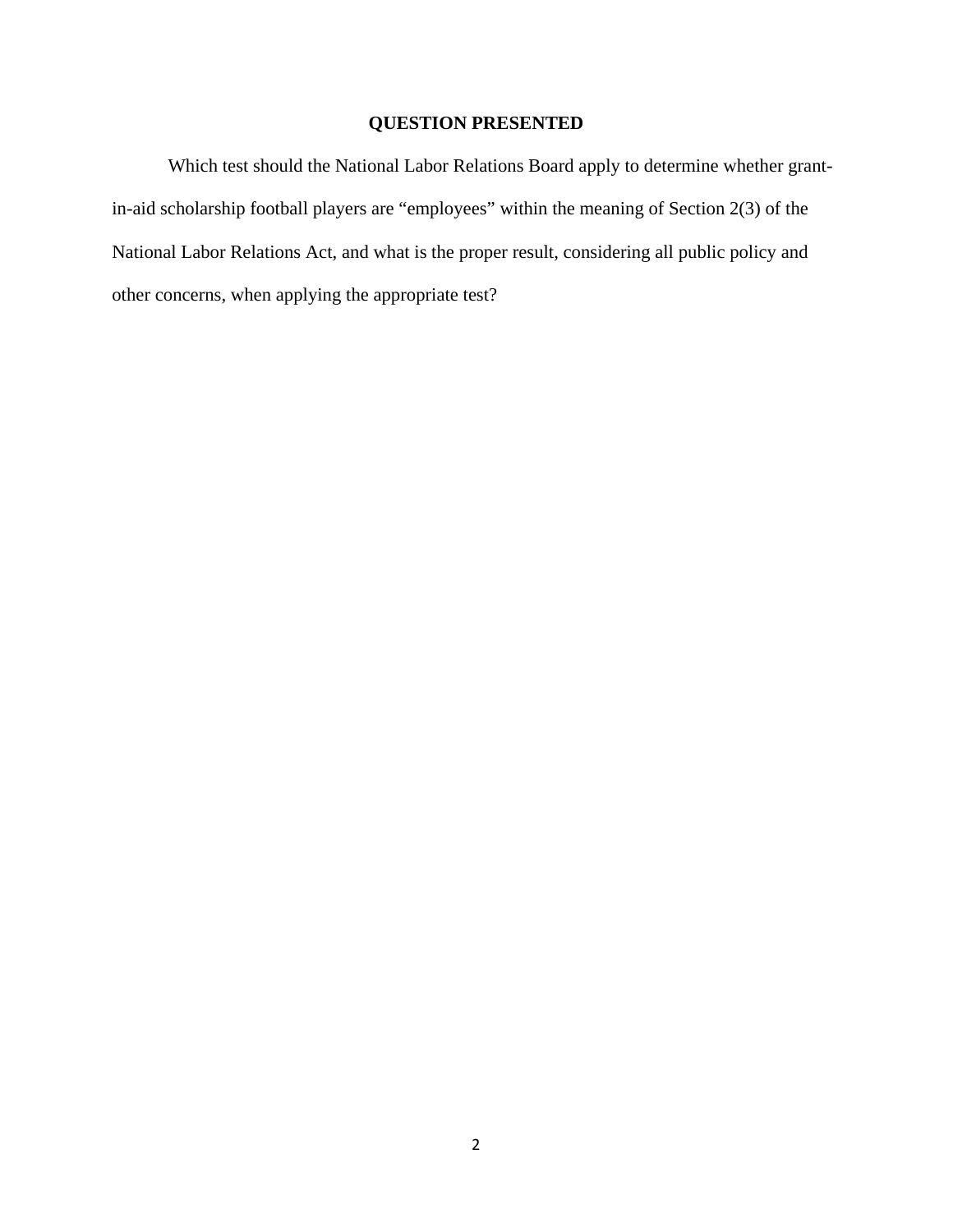# **QUESTION PRESENTED**

Which test should the National Labor Relations Board apply to determine whether grantin-aid scholarship football players are "employees" within the meaning of Section 2(3) of the National Labor Relations Act, and what is the proper result, considering all public policy and other concerns, when applying the appropriate test?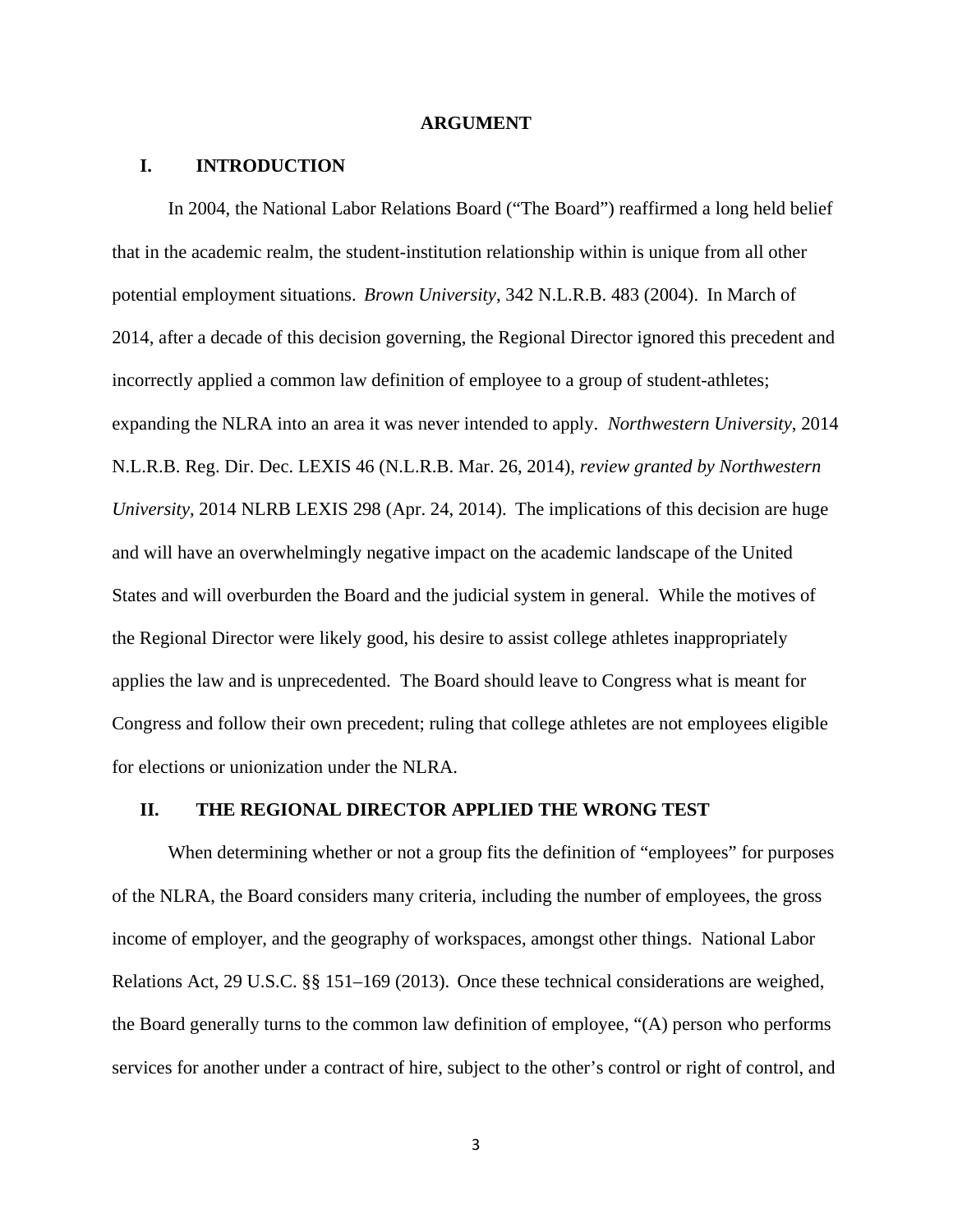#### **ARGUMENT**

#### **I. INTRODUCTION**

In 2004, the National Labor Relations Board ("The Board") reaffirmed a long held belief that in the academic realm, the student-institution relationship within is unique from all other potential employment situations. *Brown University*, 342 N.L.R.B. 483 (2004). In March of 2014, after a decade of this decision governing, the Regional Director ignored this precedent and incorrectly applied a common law definition of employee to a group of student-athletes; expanding the NLRA into an area it was never intended to apply. *Northwestern University*, 2014 N.L.R.B. Reg. Dir. Dec. LEXIS 46 (N.L.R.B. Mar. 26, 2014), *review granted by Northwestern University*, 2014 NLRB LEXIS 298 (Apr. 24, 2014). The implications of this decision are huge and will have an overwhelmingly negative impact on the academic landscape of the United States and will overburden the Board and the judicial system in general. While the motives of the Regional Director were likely good, his desire to assist college athletes inappropriately applies the law and is unprecedented. The Board should leave to Congress what is meant for Congress and follow their own precedent; ruling that college athletes are not employees eligible for elections or unionization under the NLRA.

#### **II. THE REGIONAL DIRECTOR APPLIED THE WRONG TEST**

When determining whether or not a group fits the definition of "employees" for purposes of the NLRA, the Board considers many criteria, including the number of employees, the gross income of employer, and the geography of workspaces, amongst other things. National Labor Relations Act, 29 U.S.C. §§ 151–169 (2013). Once these technical considerations are weighed, the Board generally turns to the common law definition of employee, "(A) person who performs services for another under a contract of hire, subject to the other's control or right of control, and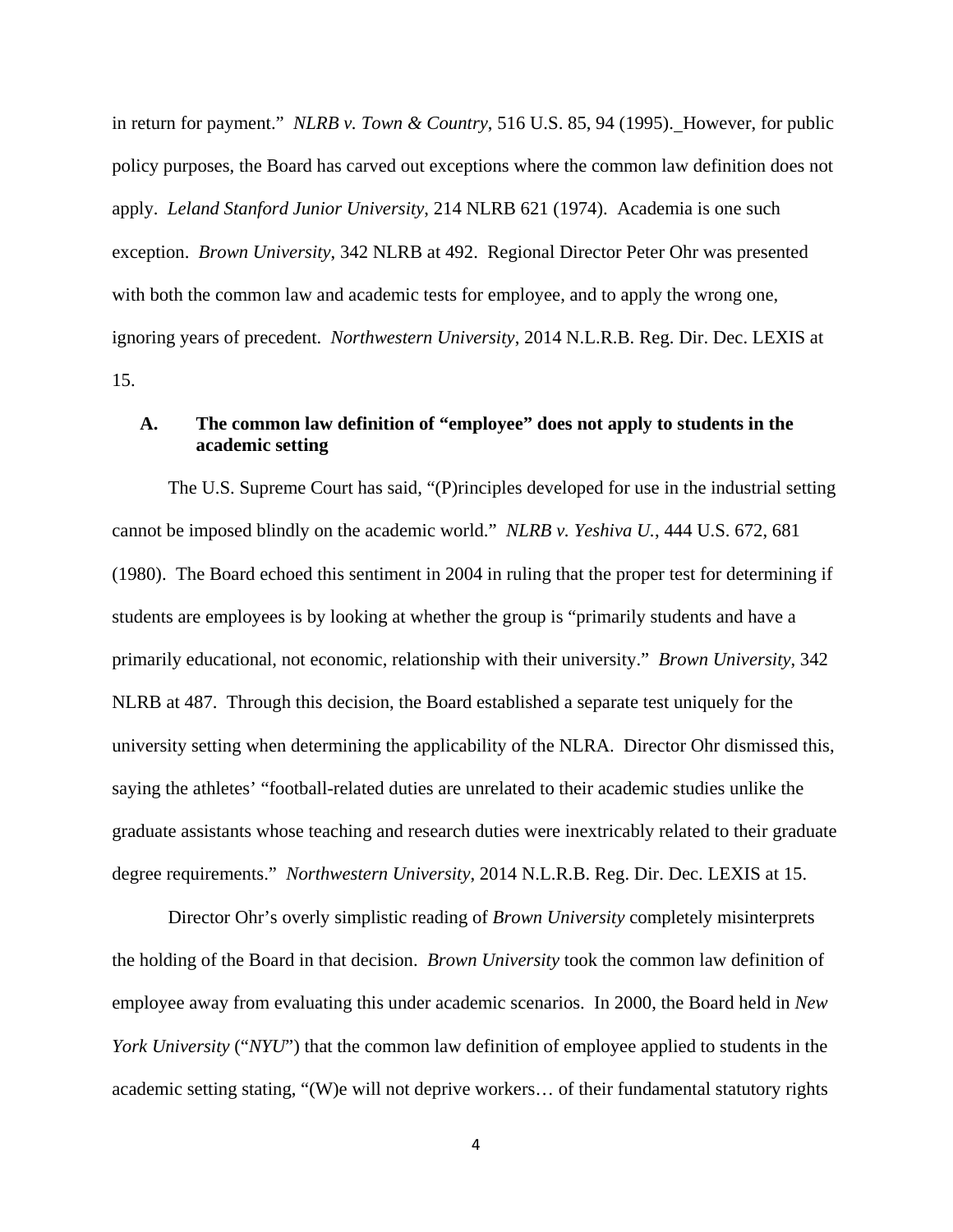in return for payment." *NLRB v. Town & Country*, 516 U.S. 85, 94 (1995). However, for public policy purposes, the Board has carved out exceptions where the common law definition does not apply. *Leland Stanford Junior University*, 214 NLRB 621 (1974). Academia is one such exception. *Brown University*, 342 NLRB at 492. Regional Director Peter Ohr was presented with both the common law and academic tests for employee, and to apply the wrong one, ignoring years of precedent. *Northwestern University*, 2014 N.L.R.B. Reg. Dir. Dec. LEXIS at 15.

# **A. The common law definition of "employee" does not apply to students in the academic setting**

The U.S. Supreme Court has said, "(P)rinciples developed for use in the industrial setting cannot be imposed blindly on the academic world." *NLRB v. Yeshiva U.*, 444 U.S. 672, 681 (1980). The Board echoed this sentiment in 2004 in ruling that the proper test for determining if students are employees is by looking at whether the group is "primarily students and have a primarily educational, not economic, relationship with their university." *Brown University*, 342 NLRB at 487. Through this decision, the Board established a separate test uniquely for the university setting when determining the applicability of the NLRA. Director Ohr dismissed this, saying the athletes' "football-related duties are unrelated to their academic studies unlike the graduate assistants whose teaching and research duties were inextricably related to their graduate degree requirements." *Northwestern University*, 2014 N.L.R.B. Reg. Dir. Dec. LEXIS at 15.

Director Ohr's overly simplistic reading of *Brown University* completely misinterprets the holding of the Board in that decision. *Brown University* took the common law definition of employee away from evaluating this under academic scenarios. In 2000, the Board held in *New York University* ("*NYU*") that the common law definition of employee applied to students in the academic setting stating, "(W)e will not deprive workers… of their fundamental statutory rights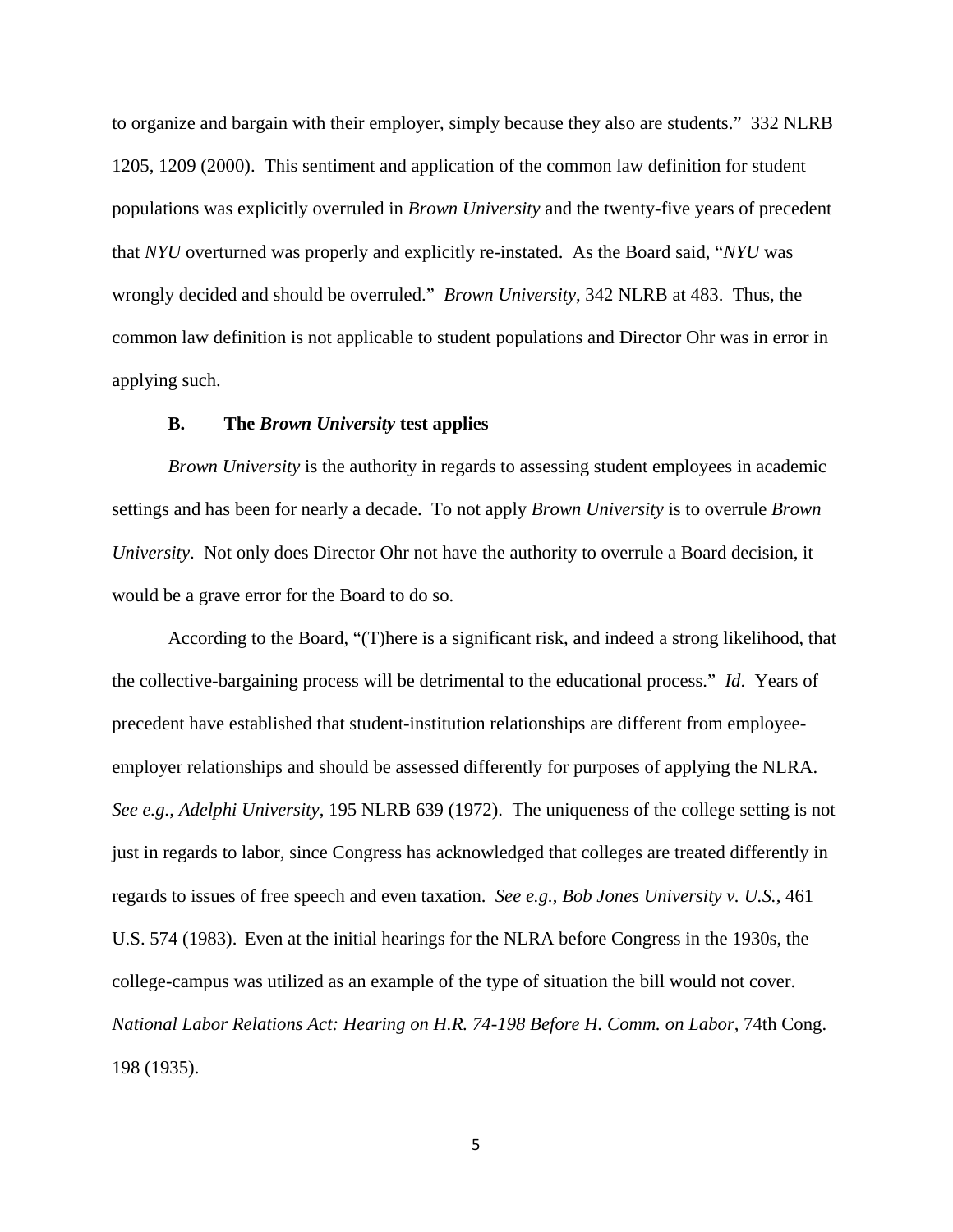to organize and bargain with their employer, simply because they also are students." 332 NLRB 1205, 1209 (2000). This sentiment and application of the common law definition for student populations was explicitly overruled in *Brown University* and the twenty-five years of precedent that *NYU* overturned was properly and explicitly re-instated. As the Board said, "*NYU* was wrongly decided and should be overruled." *Brown University*, 342 NLRB at 483. Thus, the common law definition is not applicable to student populations and Director Ohr was in error in applying such.

#### **B. The** *Brown University* **test applies**

*Brown University* is the authority in regards to assessing student employees in academic settings and has been for nearly a decade. To not apply *Brown University* is to overrule *Brown University*. Not only does Director Ohr not have the authority to overrule a Board decision, it would be a grave error for the Board to do so.

According to the Board, "(T)here is a significant risk, and indeed a strong likelihood, that the collective-bargaining process will be detrimental to the educational process." *Id*. Years of precedent have established that student-institution relationships are different from employeeemployer relationships and should be assessed differently for purposes of applying the NLRA. *See e.g., Adelphi University*, 195 NLRB 639 (1972). The uniqueness of the college setting is not just in regards to labor, since Congress has acknowledged that colleges are treated differently in regards to issues of free speech and even taxation. *See e.g.*, *Bob Jones University v. U.S.*, 461 U.S. 574 (1983). Even at the initial hearings for the NLRA before Congress in the 1930s, the college-campus was utilized as an example of the type of situation the bill would not cover. *National Labor Relations Act: Hearing on H.R. 74-198 Before H. Comm. on Labor*, 74th Cong. 198 (1935).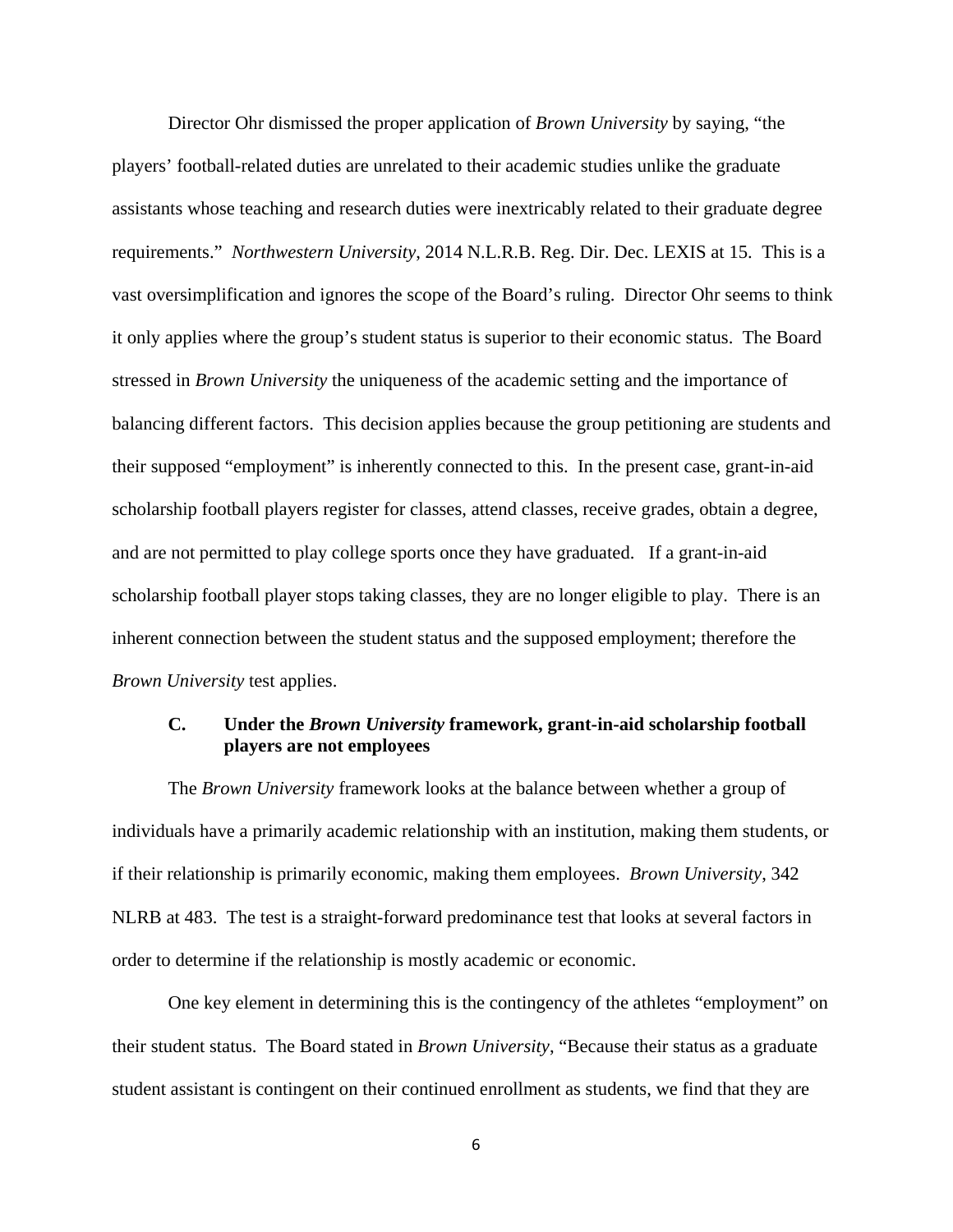Director Ohr dismissed the proper application of *Brown University* by saying, "the players' football-related duties are unrelated to their academic studies unlike the graduate assistants whose teaching and research duties were inextricably related to their graduate degree requirements." *Northwestern University*, 2014 N.L.R.B. Reg. Dir. Dec. LEXIS at 15. This is a vast oversimplification and ignores the scope of the Board's ruling. Director Ohr seems to think it only applies where the group's student status is superior to their economic status. The Board stressed in *Brown University* the uniqueness of the academic setting and the importance of balancing different factors. This decision applies because the group petitioning are students and their supposed "employment" is inherently connected to this. In the present case, grant-in-aid scholarship football players register for classes, attend classes, receive grades, obtain a degree, and are not permitted to play college sports once they have graduated. If a grant-in-aid scholarship football player stops taking classes, they are no longer eligible to play. There is an inherent connection between the student status and the supposed employment; therefore the *Brown University* test applies.

### **C. Under the** *Brown University* **framework, grant-in-aid scholarship football players are not employees**

The *Brown University* framework looks at the balance between whether a group of individuals have a primarily academic relationship with an institution, making them students, or if their relationship is primarily economic, making them employees. *Brown University*, 342 NLRB at 483. The test is a straight-forward predominance test that looks at several factors in order to determine if the relationship is mostly academic or economic.

One key element in determining this is the contingency of the athletes "employment" on their student status. The Board stated in *Brown University*, "Because their status as a graduate student assistant is contingent on their continued enrollment as students, we find that they are

<sup>6</sup>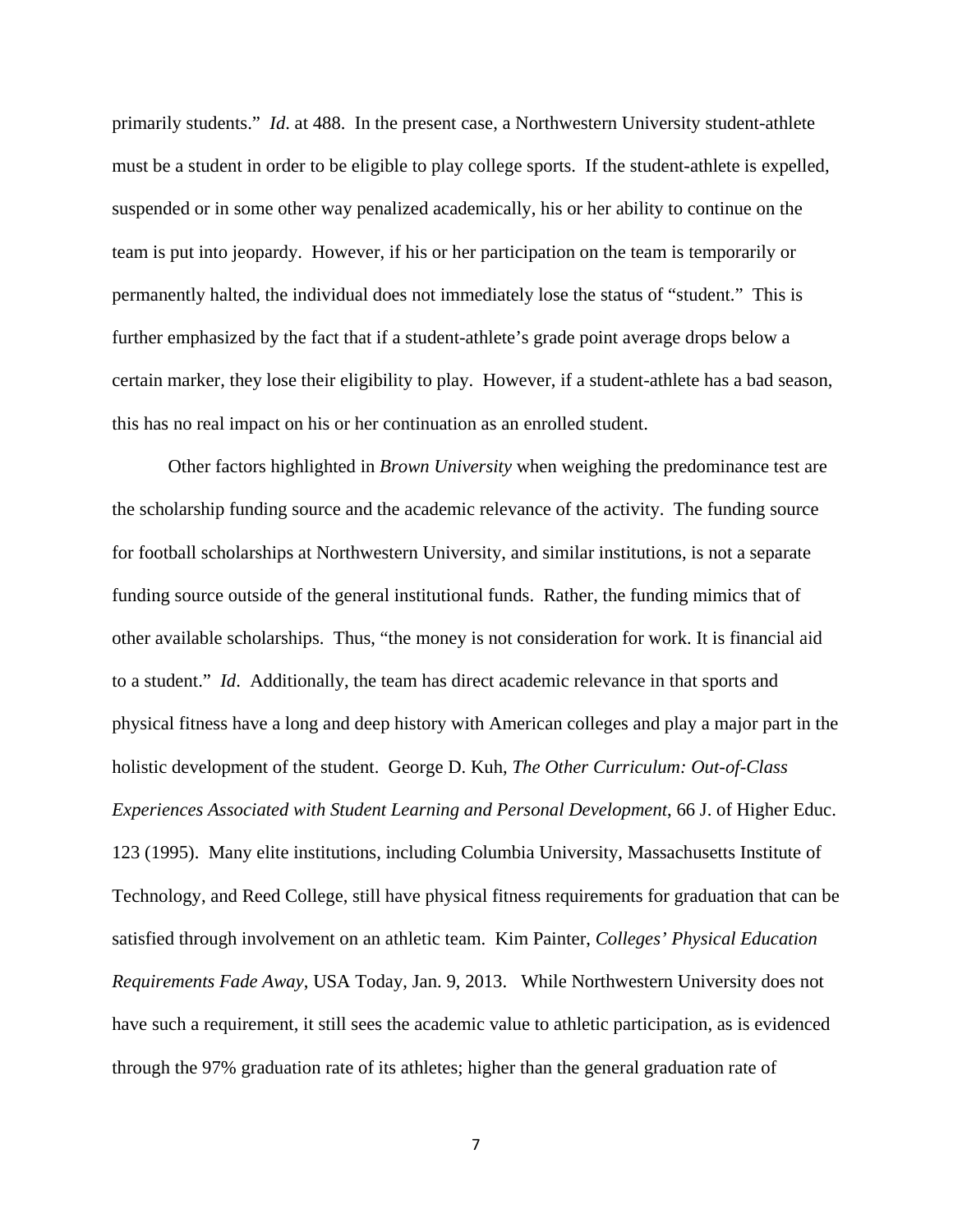primarily students." *Id*. at 488. In the present case, a Northwestern University student-athlete must be a student in order to be eligible to play college sports. If the student-athlete is expelled, suspended or in some other way penalized academically, his or her ability to continue on the team is put into jeopardy. However, if his or her participation on the team is temporarily or permanently halted, the individual does not immediately lose the status of "student." This is further emphasized by the fact that if a student-athlete's grade point average drops below a certain marker, they lose their eligibility to play. However, if a student-athlete has a bad season, this has no real impact on his or her continuation as an enrolled student.

Other factors highlighted in *Brown University* when weighing the predominance test are the scholarship funding source and the academic relevance of the activity. The funding source for football scholarships at Northwestern University, and similar institutions, is not a separate funding source outside of the general institutional funds. Rather, the funding mimics that of other available scholarships. Thus, "the money is not consideration for work. It is financial aid to a student." *Id*. Additionally, the team has direct academic relevance in that sports and physical fitness have a long and deep history with American colleges and play a major part in the holistic development of the student. George D. Kuh, *The Other Curriculum: Out-of-Class Experiences Associated with Student Learning and Personal Development*, 66 J. of Higher Educ. 123 (1995). Many elite institutions, including Columbia University, Massachusetts Institute of Technology, and Reed College, still have physical fitness requirements for graduation that can be satisfied through involvement on an athletic team. Kim Painter, *Colleges' Physical Education Requirements Fade Away*, USA Today, Jan. 9, 2013. While Northwestern University does not have such a requirement, it still sees the academic value to athletic participation, as is evidenced through the 97% graduation rate of its athletes; higher than the general graduation rate of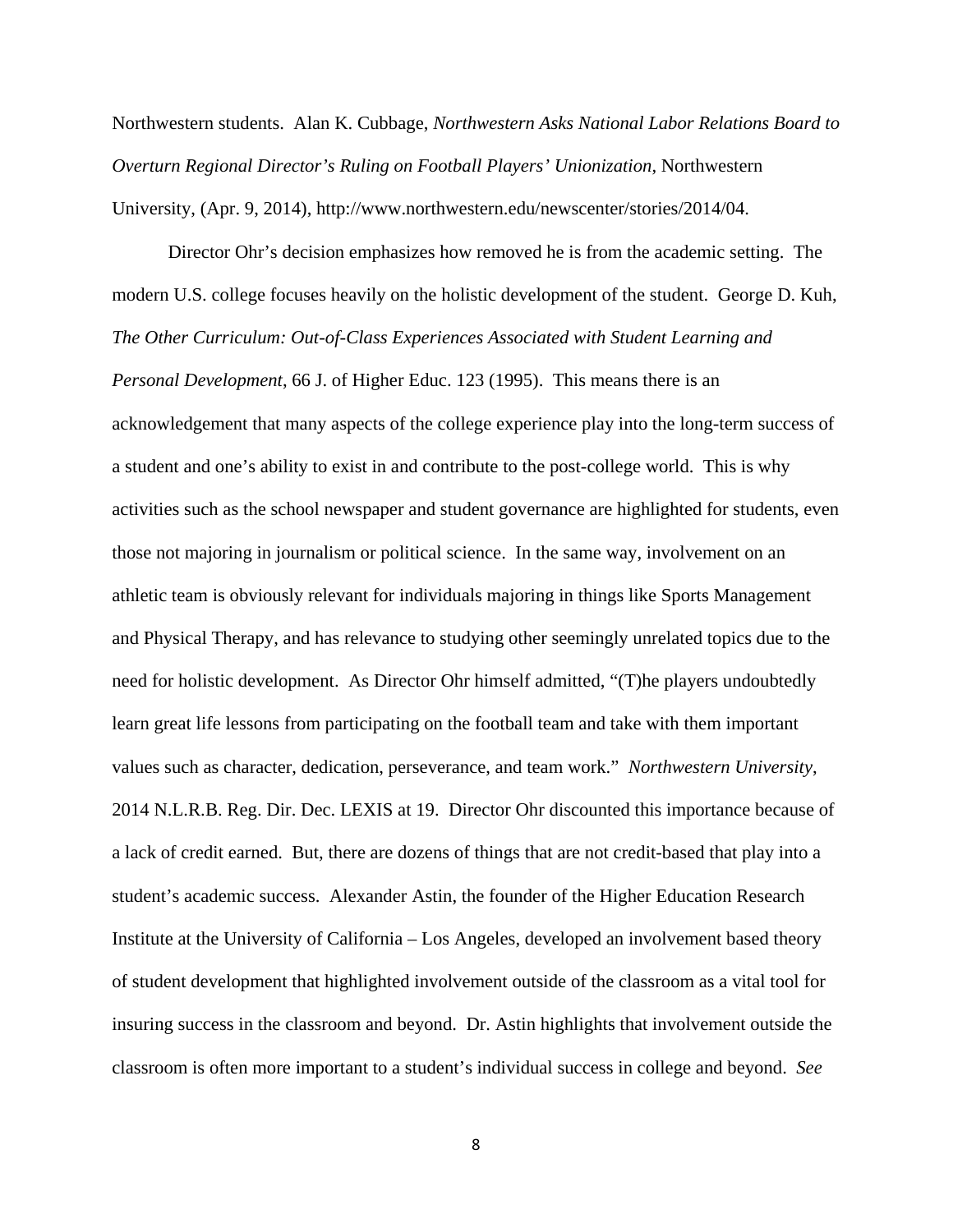Northwestern students. Alan K. Cubbage, *Northwestern Asks National Labor Relations Board to Overturn Regional Director's Ruling on Football Players' Unionization*, Northwestern University, (Apr. 9, 2014), http://www.northwestern.edu/newscenter/stories/2014/04.

Director Ohr's decision emphasizes how removed he is from the academic setting. The modern U.S. college focuses heavily on the holistic development of the student. George D. Kuh, *The Other Curriculum: Out-of-Class Experiences Associated with Student Learning and Personal Development*, 66 J. of Higher Educ. 123 (1995). This means there is an acknowledgement that many aspects of the college experience play into the long-term success of a student and one's ability to exist in and contribute to the post-college world. This is why activities such as the school newspaper and student governance are highlighted for students, even those not majoring in journalism or political science. In the same way, involvement on an athletic team is obviously relevant for individuals majoring in things like Sports Management and Physical Therapy, and has relevance to studying other seemingly unrelated topics due to the need for holistic development. As Director Ohr himself admitted, "(T)he players undoubtedly learn great life lessons from participating on the football team and take with them important values such as character, dedication, perseverance, and team work." *Northwestern University*, 2014 N.L.R.B. Reg. Dir. Dec. LEXIS at 19. Director Ohr discounted this importance because of a lack of credit earned. But, there are dozens of things that are not credit-based that play into a student's academic success. Alexander Astin, the founder of the Higher Education Research Institute at the University of California – Los Angeles, developed an involvement based theory of student development that highlighted involvement outside of the classroom as a vital tool for insuring success in the classroom and beyond. Dr. Astin highlights that involvement outside the classroom is often more important to a student's individual success in college and beyond. *See*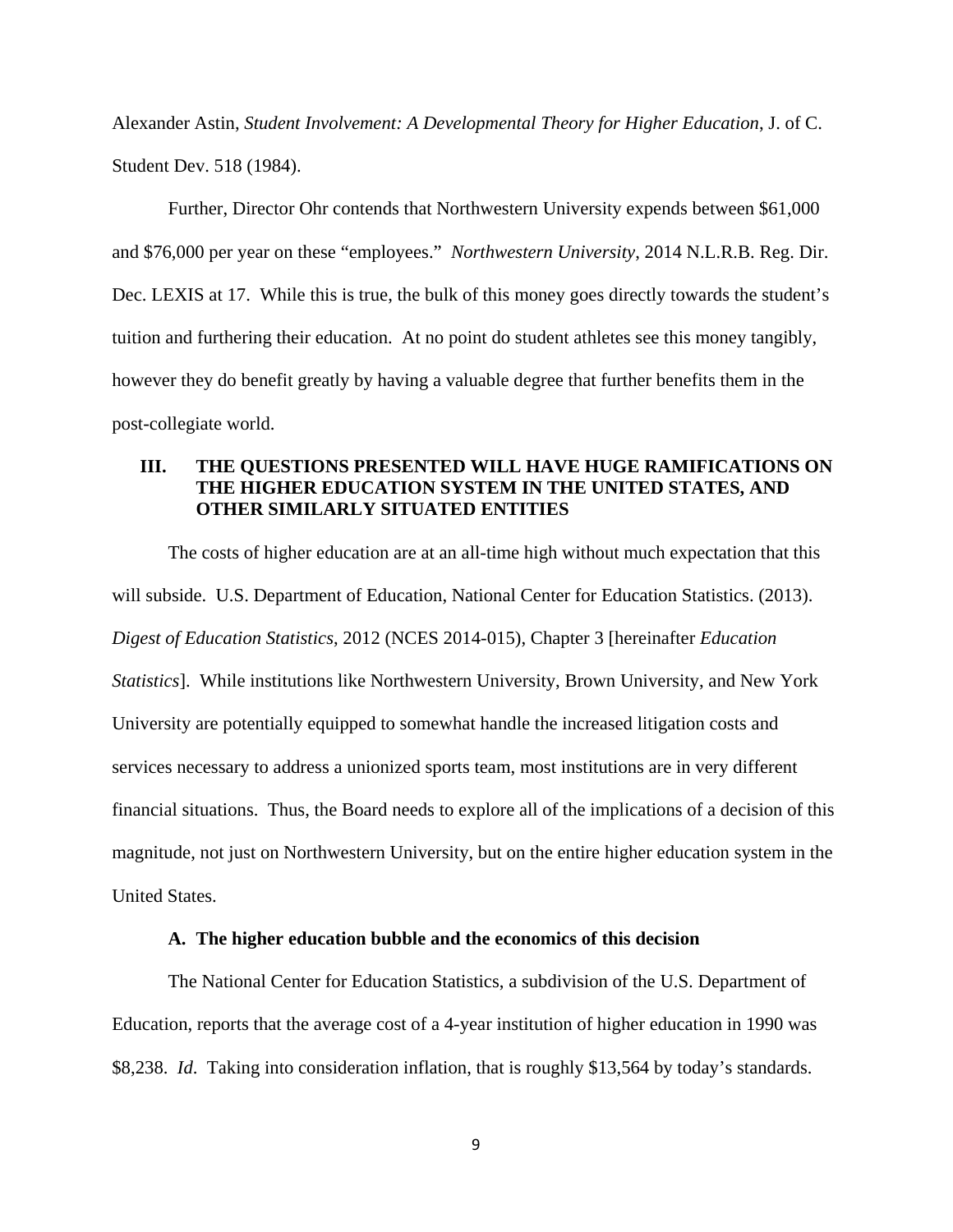Alexander Astin, *Student Involvement: A Developmental Theory for Higher Education*, J. of C. Student Dev. 518 (1984).

Further, Director Ohr contends that Northwestern University expends between \$61,000 and \$76,000 per year on these "employees." *Northwestern University*, 2014 N.L.R.B. Reg. Dir. Dec. LEXIS at 17. While this is true, the bulk of this money goes directly towards the student's tuition and furthering their education. At no point do student athletes see this money tangibly, however they do benefit greatly by having a valuable degree that further benefits them in the post-collegiate world.

## **III. THE QUESTIONS PRESENTED WILL HAVE HUGE RAMIFICATIONS ON THE HIGHER EDUCATION SYSTEM IN THE UNITED STATES, AND OTHER SIMILARLY SITUATED ENTITIES**

The costs of higher education are at an all-time high without much expectation that this will subside. U.S. Department of Education, National Center for Education Statistics. (2013). *Digest of Education Statistics*, 2012 (NCES 2014-015), Chapter 3 [hereinafter *Education Statistics*]. While institutions like Northwestern University, Brown University, and New York University are potentially equipped to somewhat handle the increased litigation costs and services necessary to address a unionized sports team, most institutions are in very different financial situations. Thus, the Board needs to explore all of the implications of a decision of this magnitude, not just on Northwestern University, but on the entire higher education system in the United States.

#### **A. The higher education bubble and the economics of this decision**

The National Center for Education Statistics, a subdivision of the U.S. Department of Education, reports that the average cost of a 4-year institution of higher education in 1990 was \$8,238. *Id*. Taking into consideration inflation, that is roughly \$13,564 by today's standards.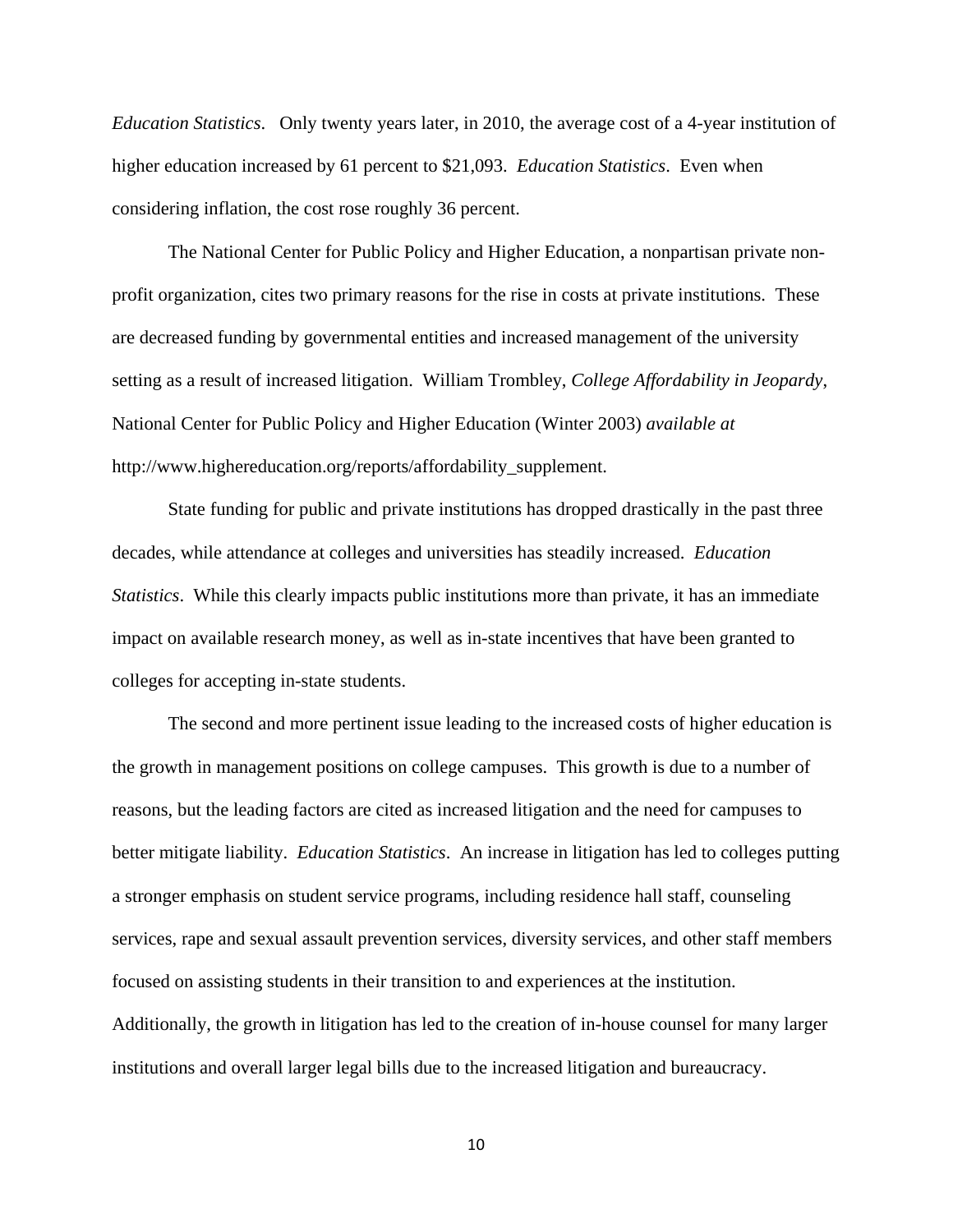*Education Statistics*. Only twenty years later, in 2010, the average cost of a 4-year institution of higher education increased by 61 percent to \$21,093. *Education Statistics*. Even when considering inflation, the cost rose roughly 36 percent.

The National Center for Public Policy and Higher Education, a nonpartisan private nonprofit organization, cites two primary reasons for the rise in costs at private institutions. These are decreased funding by governmental entities and increased management of the university setting as a result of increased litigation. William Trombley, *College Affordability in Jeopardy*, National Center for Public Policy and Higher Education (Winter 2003) *available at* http://www.highereducation.org/reports/affordability\_supplement.

State funding for public and private institutions has dropped drastically in the past three decades, while attendance at colleges and universities has steadily increased. *Education Statistics*. While this clearly impacts public institutions more than private, it has an immediate impact on available research money, as well as in-state incentives that have been granted to colleges for accepting in-state students.

The second and more pertinent issue leading to the increased costs of higher education is the growth in management positions on college campuses. This growth is due to a number of reasons, but the leading factors are cited as increased litigation and the need for campuses to better mitigate liability. *Education Statistics*. An increase in litigation has led to colleges putting a stronger emphasis on student service programs, including residence hall staff, counseling services, rape and sexual assault prevention services, diversity services, and other staff members focused on assisting students in their transition to and experiences at the institution. Additionally, the growth in litigation has led to the creation of in-house counsel for many larger institutions and overall larger legal bills due to the increased litigation and bureaucracy.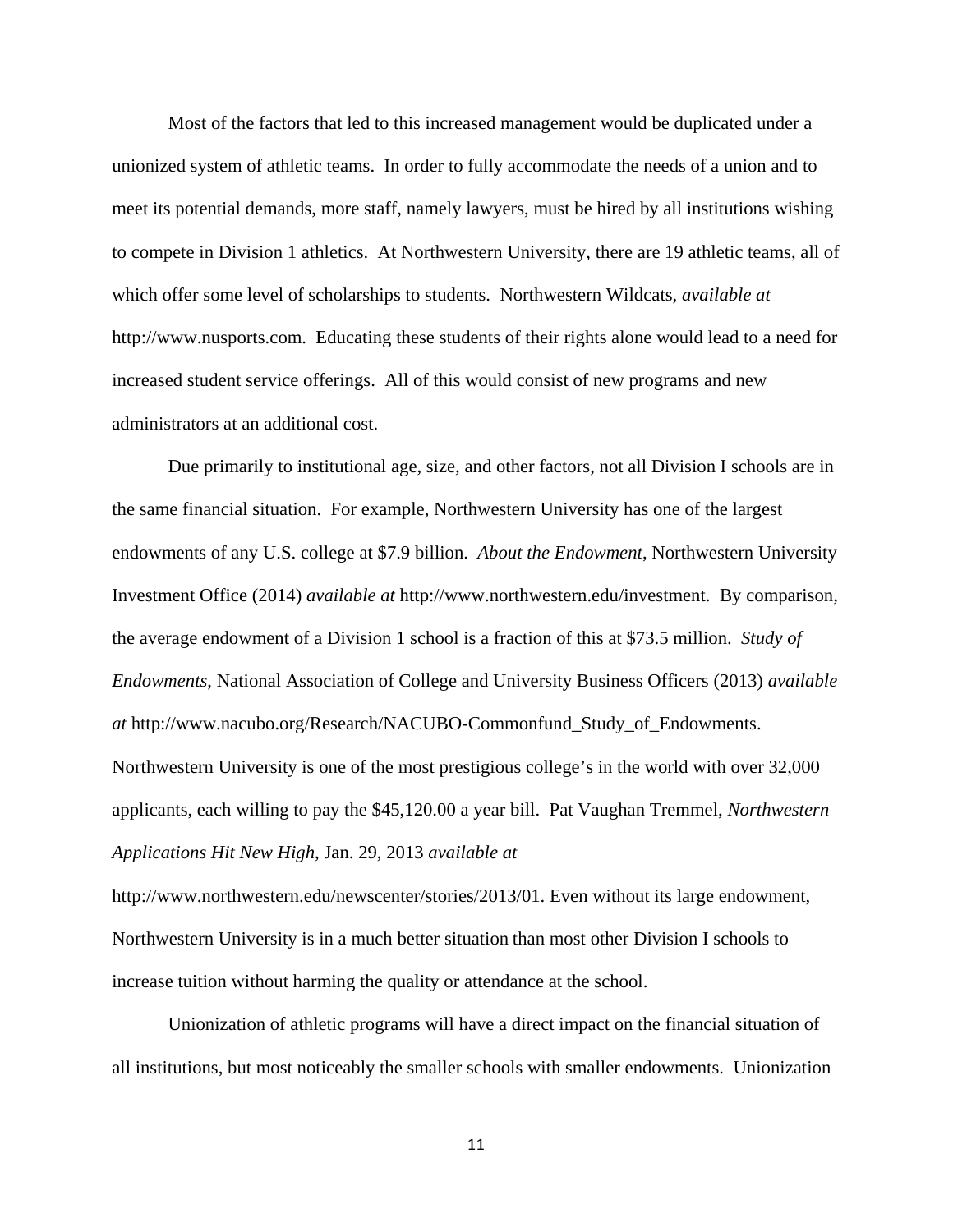Most of the factors that led to this increased management would be duplicated under a unionized system of athletic teams. In order to fully accommodate the needs of a union and to meet its potential demands, more staff, namely lawyers, must be hired by all institutions wishing to compete in Division 1 athletics. At Northwestern University, there are 19 athletic teams, all of which offer some level of scholarships to students. Northwestern Wildcats, *available at* http://www.nusports.com. Educating these students of their rights alone would lead to a need for increased student service offerings. All of this would consist of new programs and new administrators at an additional cost.

Due primarily to institutional age, size, and other factors, not all Division I schools are in the same financial situation. For example, Northwestern University has one of the largest endowments of any U.S. college at \$7.9 billion. *About the Endowment*, Northwestern University Investment Office (2014) *available at* http://www.northwestern.edu/investment. By comparison, the average endowment of a Division 1 school is a fraction of this at \$73.5 million. *Study of Endowments*, National Association of College and University Business Officers (2013) *available at* http://www.nacubo.org/Research/NACUBO-Commonfund\_Study\_of\_Endowments. Northwestern University is one of the most prestigious college's in the world with over 32,000 applicants, each willing to pay the \$45,120.00 a year bill. Pat Vaughan Tremmel, *Northwestern Applications Hit New High*, Jan. 29, 2013 *available at*

http://www.northwestern.edu/newscenter/stories/2013/01. Even without its large endowment, Northwestern University is in a much better situation than most other Division I schools to increase tuition without harming the quality or attendance at the school.

Unionization of athletic programs will have a direct impact on the financial situation of all institutions, but most noticeably the smaller schools with smaller endowments. Unionization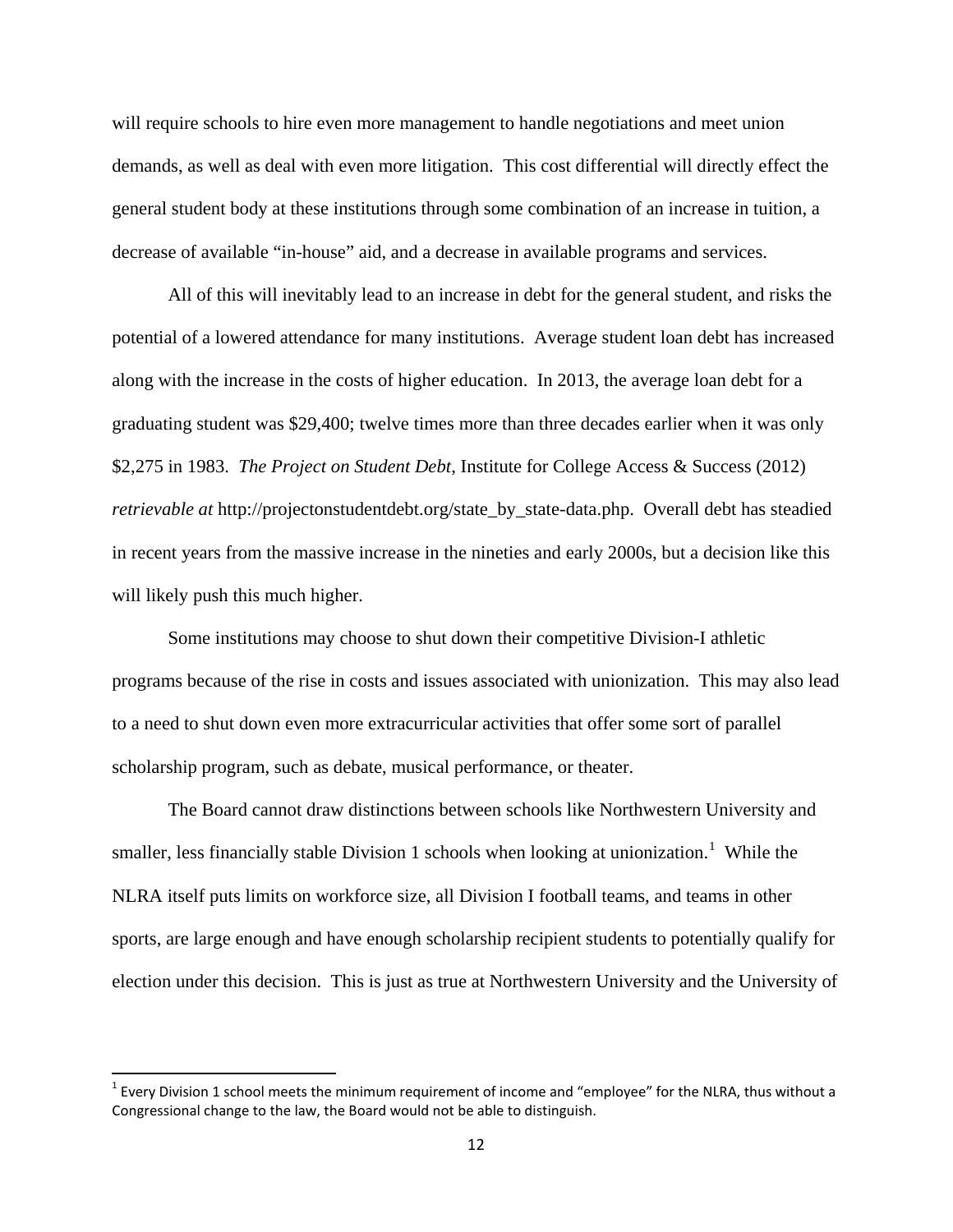will require schools to hire even more management to handle negotiations and meet union demands, as well as deal with even more litigation. This cost differential will directly effect the general student body at these institutions through some combination of an increase in tuition, a decrease of available "in-house" aid, and a decrease in available programs and services.

All of this will inevitably lead to an increase in debt for the general student, and risks the potential of a lowered attendance for many institutions. Average student loan debt has increased along with the increase in the costs of higher education. In 2013, the average loan debt for a graduating student was \$29,400; twelve times more than three decades earlier when it was only \$2,275 in 1983. *The Project on Student Debt*, Institute for College Access & Success (2012) *retrievable at* http://projectonstudentdebt.org/state\_by\_state-data.php. Overall debt has steadied in recent years from the massive increase in the nineties and early 2000s, but a decision like this will likely push this much higher.

Some institutions may choose to shut down their competitive Division-I athletic programs because of the rise in costs and issues associated with unionization. This may also lead to a need to shut down even more extracurricular activities that offer some sort of parallel scholarship program, such as debate, musical performance, or theater.

The Board cannot draw distinctions between schools like Northwestern University and smaller, less financially stable Division [1](#page-16-0) schools when looking at unionization.<sup>1</sup> While the NLRA itself puts limits on workforce size, all Division I football teams, and teams in other sports, are large enough and have enough scholarship recipient students to potentially qualify for election under this decision. This is just as true at Northwestern University and the University of

<span id="page-16-0"></span> $1$  Every Division 1 school meets the minimum requirement of income and "employee" for the NLRA, thus without a Congressional change to the law, the Board would not be able to distinguish.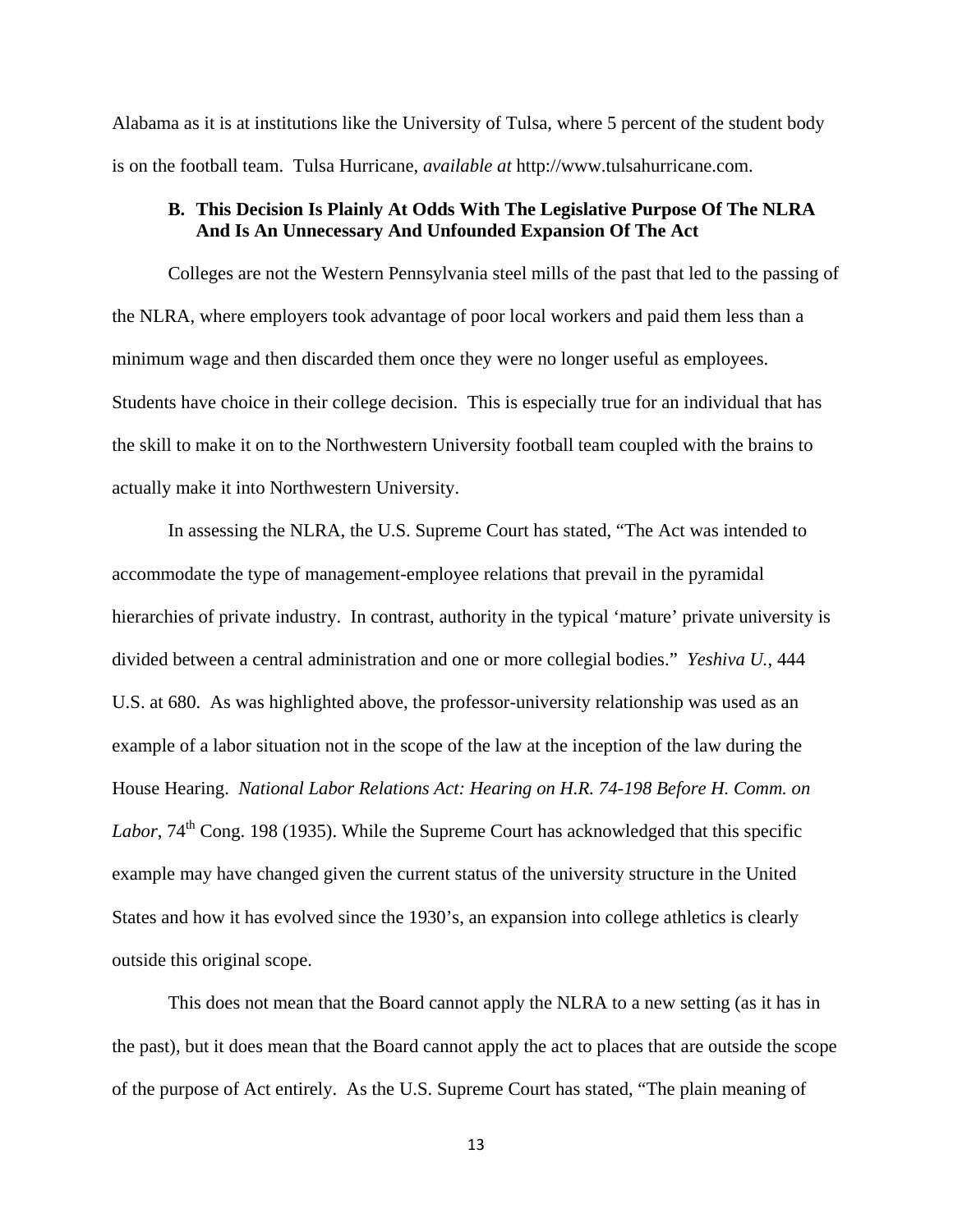Alabama as it is at institutions like the University of Tulsa, where 5 percent of the student body is on the football team. Tulsa Hurricane, *available at* http://www.tulsahurricane.com.

# **B. This Decision Is Plainly At Odds With The Legislative Purpose Of The NLRA And Is An Unnecessary And Unfounded Expansion Of The Act**

Colleges are not the Western Pennsylvania steel mills of the past that led to the passing of the NLRA, where employers took advantage of poor local workers and paid them less than a minimum wage and then discarded them once they were no longer useful as employees. Students have choice in their college decision. This is especially true for an individual that has the skill to make it on to the Northwestern University football team coupled with the brains to actually make it into Northwestern University.

In assessing the NLRA, the U.S. Supreme Court has stated, "The Act was intended to accommodate the type of management-employee relations that prevail in the pyramidal hierarchies of private industry. In contrast, authority in the typical 'mature' private university is divided between a central administration and one or more collegial bodies." *Yeshiva U.*, 444 U.S. at 680. As was highlighted above, the professor-university relationship was used as an example of a labor situation not in the scope of the law at the inception of the law during the House Hearing. *National Labor Relations Act: Hearing on H.R. 74-198 Before H. Comm. on*  Labor, 74<sup>th</sup> Cong. 198 (1935). While the Supreme Court has acknowledged that this specific example may have changed given the current status of the university structure in the United States and how it has evolved since the 1930's, an expansion into college athletics is clearly outside this original scope.

This does not mean that the Board cannot apply the NLRA to a new setting (as it has in the past), but it does mean that the Board cannot apply the act to places that are outside the scope of the purpose of Act entirely. As the U.S. Supreme Court has stated, "The plain meaning of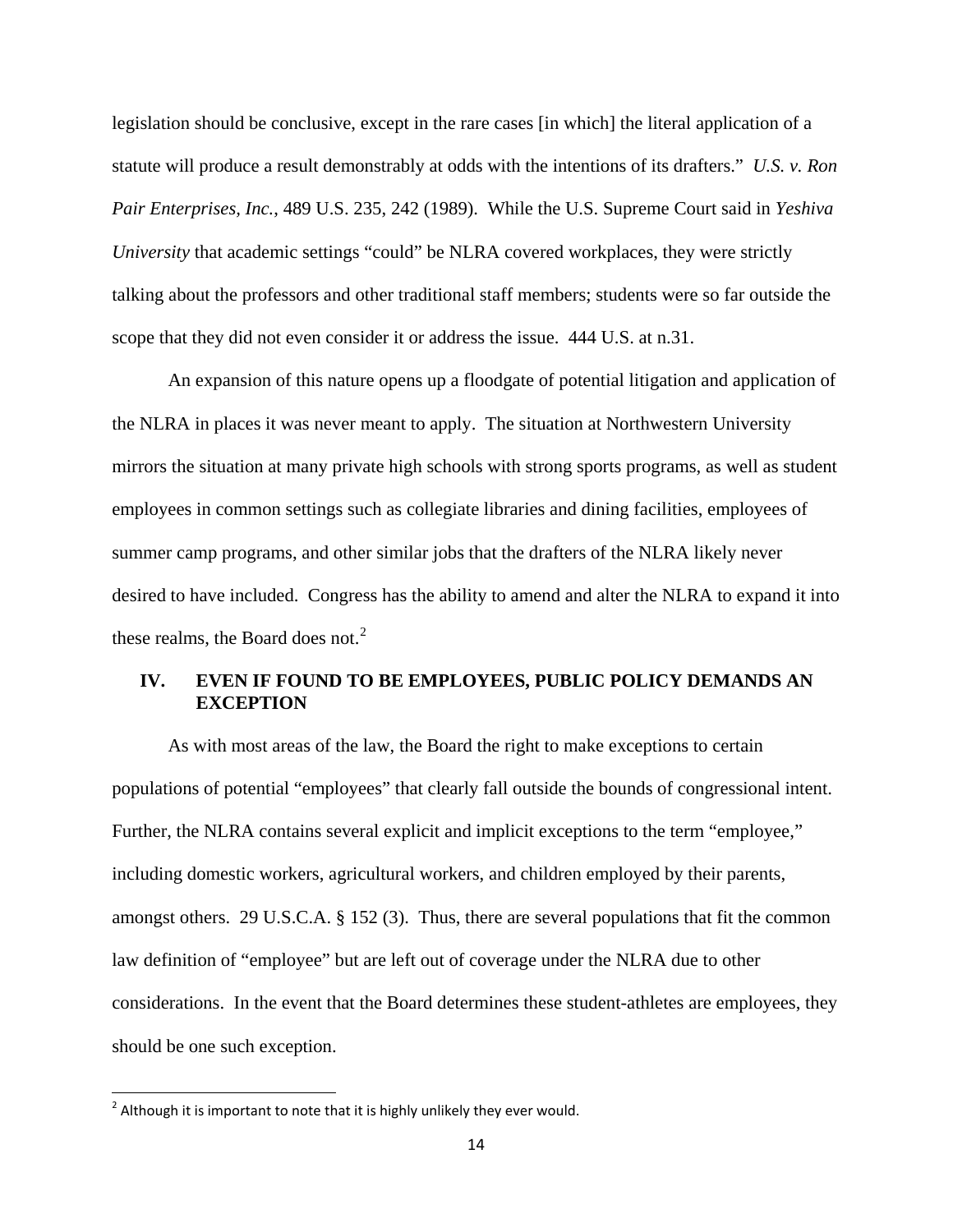legislation should be conclusive, except in the rare cases [in which] the literal application of a statute will produce a result demonstrably at odds with the intentions of its drafters." *U.S. v. Ron Pair Enterprises, Inc.*, 489 U.S. 235, 242 (1989). While the U.S. Supreme Court said in *Yeshiva University* that academic settings "could" be NLRA covered workplaces, they were strictly talking about the professors and other traditional staff members; students were so far outside the scope that they did not even consider it or address the issue. 444 U.S. at n.31.

An expansion of this nature opens up a floodgate of potential litigation and application of the NLRA in places it was never meant to apply. The situation at Northwestern University mirrors the situation at many private high schools with strong sports programs, as well as student employees in common settings such as collegiate libraries and dining facilities, employees of summer camp programs, and other similar jobs that the drafters of the NLRA likely never desired to have included. Congress has the ability to amend and alter the NLRA to expand it into these realms, the Board does not.<sup>[2](#page-18-0)</sup>

# **IV. EVEN IF FOUND TO BE EMPLOYEES, PUBLIC POLICY DEMANDS AN EXCEPTION**

As with most areas of the law, the Board the right to make exceptions to certain populations of potential "employees" that clearly fall outside the bounds of congressional intent. Further, the NLRA contains several explicit and implicit exceptions to the term "employee," including domestic workers, agricultural workers, and children employed by their parents, amongst others. 29 U.S.C.A. § 152 (3). Thus, there are several populations that fit the common law definition of "employee" but are left out of coverage under the NLRA due to other considerations. In the event that the Board determines these student-athletes are employees, they should be one such exception.

<span id="page-18-0"></span> $2$  Although it is important to note that it is highly unlikely they ever would.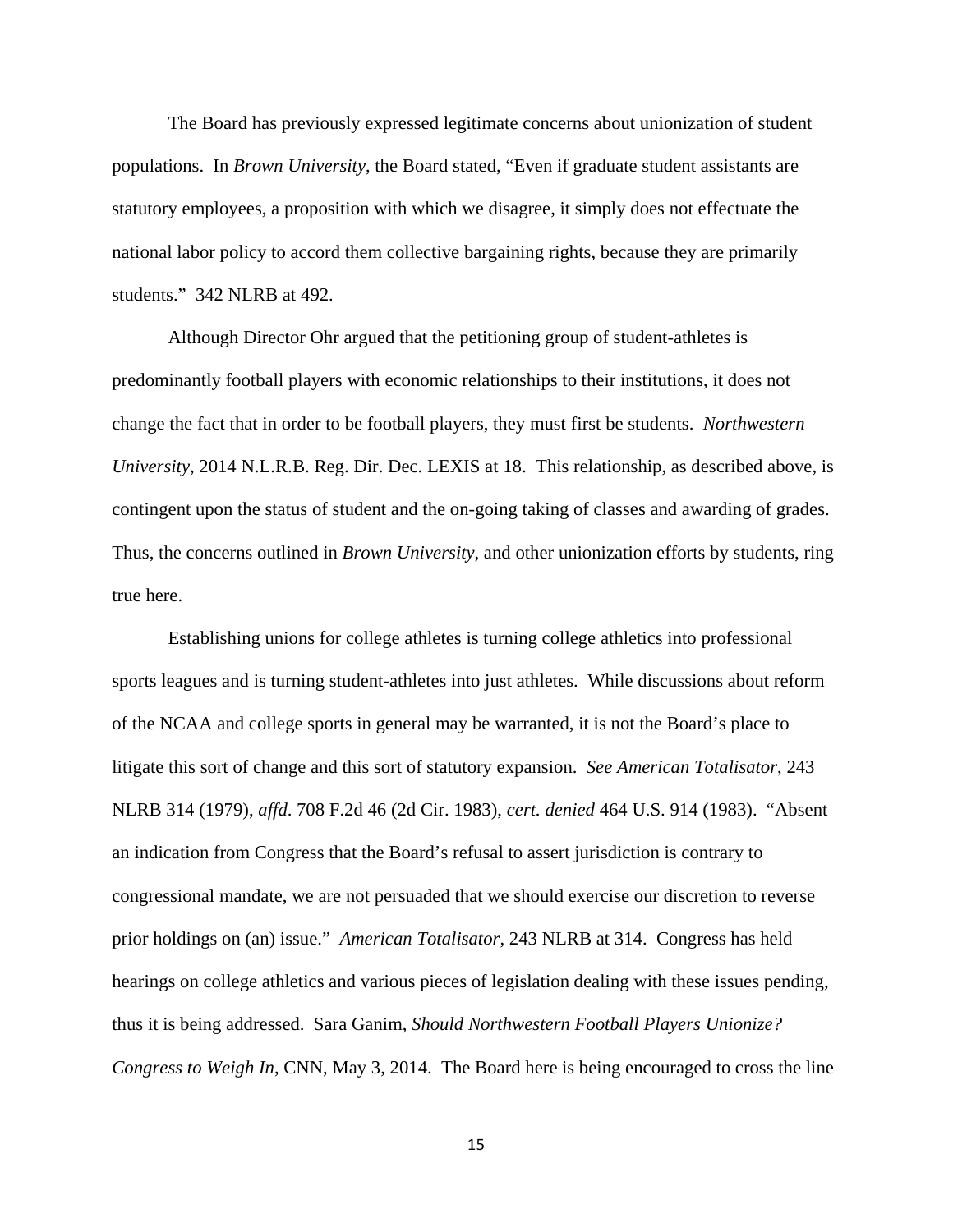The Board has previously expressed legitimate concerns about unionization of student populations. In *Brown University*, the Board stated, "Even if graduate student assistants are statutory employees, a proposition with which we disagree, it simply does not effectuate the national labor policy to accord them collective bargaining rights, because they are primarily students." 342 NLRB at 492.

Although Director Ohr argued that the petitioning group of student-athletes is predominantly football players with economic relationships to their institutions, it does not change the fact that in order to be football players, they must first be students. *Northwestern University*, 2014 N.L.R.B. Reg. Dir. Dec. LEXIS at 18. This relationship, as described above, is contingent upon the status of student and the on-going taking of classes and awarding of grades. Thus, the concerns outlined in *Brown University*, and other unionization efforts by students, ring true here.

Establishing unions for college athletes is turning college athletics into professional sports leagues and is turning student-athletes into just athletes. While discussions about reform of the NCAA and college sports in general may be warranted, it is not the Board's place to litigate this sort of change and this sort of statutory expansion. *See American Totalisator*, 243 NLRB 314 (1979), *affd*. 708 F.2d 46 (2d Cir. 1983), *cert. denied* 464 U.S. 914 (1983). "Absent an indication from Congress that the Board's refusal to assert jurisdiction is contrary to congressional mandate, we are not persuaded that we should exercise our discretion to reverse prior holdings on (an) issue." *American Totalisator*, 243 NLRB at 314. Congress has held hearings on college athletics and various pieces of legislation dealing with these issues pending, thus it is being addressed. Sara Ganim, *Should Northwestern Football Players Unionize? Congress to Weigh In*, CNN, May 3, 2014. The Board here is being encouraged to cross the line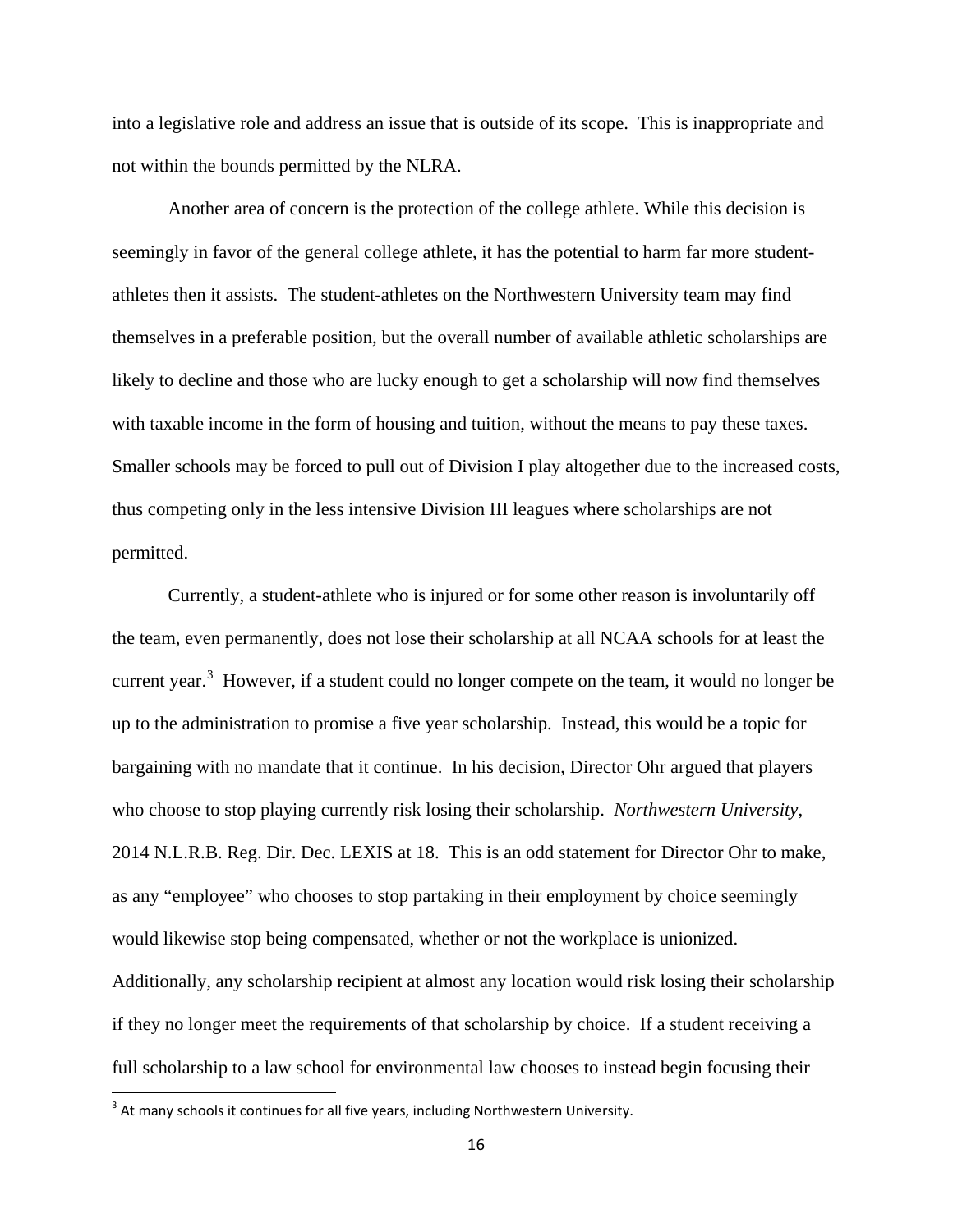into a legislative role and address an issue that is outside of its scope. This is inappropriate and not within the bounds permitted by the NLRA.

Another area of concern is the protection of the college athlete. While this decision is seemingly in favor of the general college athlete, it has the potential to harm far more studentathletes then it assists. The student-athletes on the Northwestern University team may find themselves in a preferable position, but the overall number of available athletic scholarships are likely to decline and those who are lucky enough to get a scholarship will now find themselves with taxable income in the form of housing and tuition, without the means to pay these taxes. Smaller schools may be forced to pull out of Division I play altogether due to the increased costs, thus competing only in the less intensive Division III leagues where scholarships are not permitted.

Currently, a student-athlete who is injured or for some other reason is involuntarily off the team, even permanently, does not lose their scholarship at all NCAA schools for at least the current year.<sup>[3](#page-20-0)</sup> However, if a student could no longer compete on the team, it would no longer be up to the administration to promise a five year scholarship. Instead, this would be a topic for bargaining with no mandate that it continue. In his decision, Director Ohr argued that players who choose to stop playing currently risk losing their scholarship. *Northwestern University*, 2014 N.L.R.B. Reg. Dir. Dec. LEXIS at 18. This is an odd statement for Director Ohr to make, as any "employee" who chooses to stop partaking in their employment by choice seemingly would likewise stop being compensated, whether or not the workplace is unionized. Additionally, any scholarship recipient at almost any location would risk losing their scholarship if they no longer meet the requirements of that scholarship by choice. If a student receiving a full scholarship to a law school for environmental law chooses to instead begin focusing their

<span id="page-20-0"></span> $3$  At many schools it continues for all five years, including Northwestern University.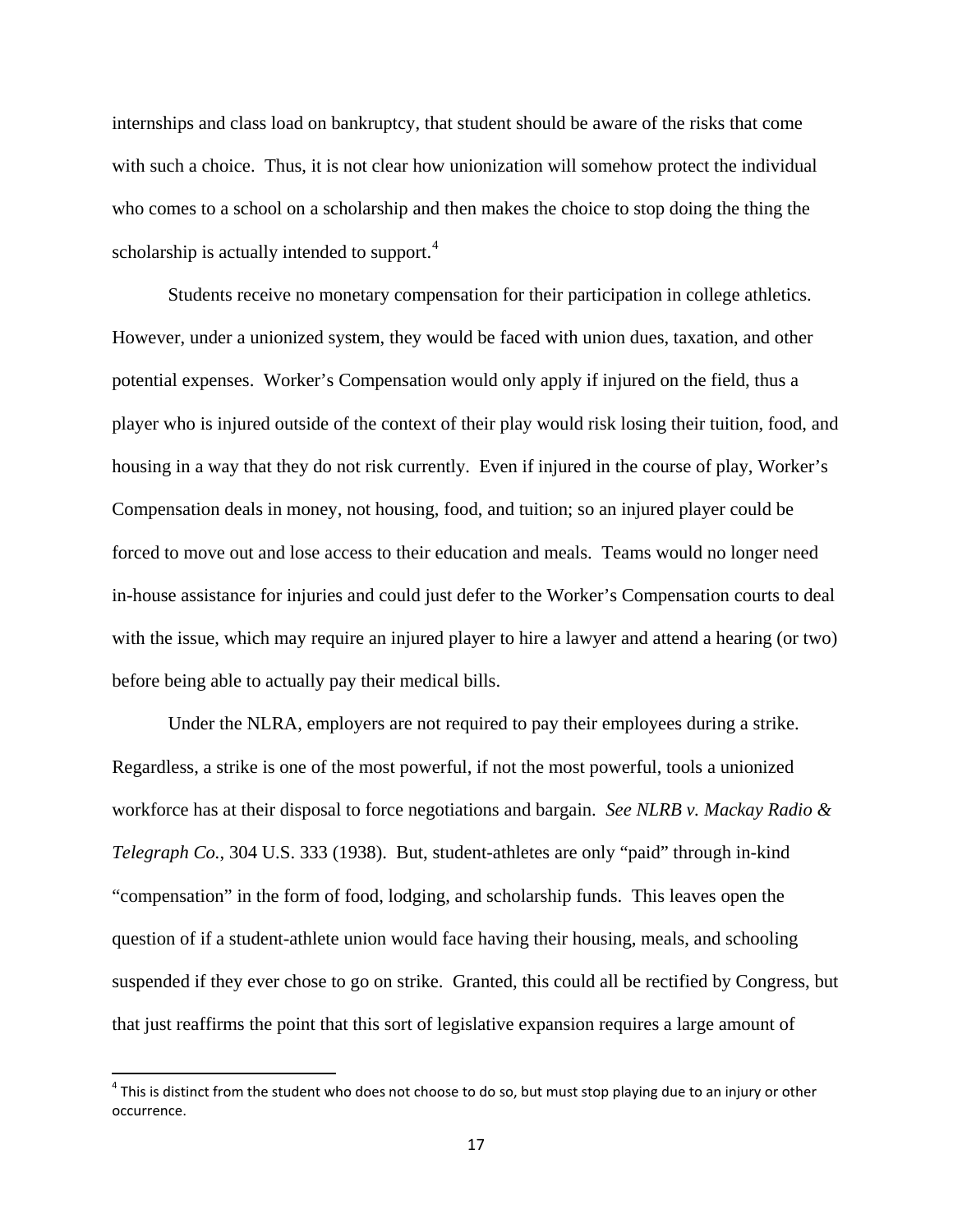internships and class load on bankruptcy, that student should be aware of the risks that come with such a choice. Thus, it is not clear how unionization will somehow protect the individual who comes to a school on a scholarship and then makes the choice to stop doing the thing the scholarship is actually intended to support.<sup>[4](#page-21-0)</sup>

Students receive no monetary compensation for their participation in college athletics. However, under a unionized system, they would be faced with union dues, taxation, and other potential expenses. Worker's Compensation would only apply if injured on the field, thus a player who is injured outside of the context of their play would risk losing their tuition, food, and housing in a way that they do not risk currently. Even if injured in the course of play, Worker's Compensation deals in money, not housing, food, and tuition; so an injured player could be forced to move out and lose access to their education and meals. Teams would no longer need in-house assistance for injuries and could just defer to the Worker's Compensation courts to deal with the issue, which may require an injured player to hire a lawyer and attend a hearing (or two) before being able to actually pay their medical bills.

Under the NLRA, employers are not required to pay their employees during a strike. Regardless, a strike is one of the most powerful, if not the most powerful, tools a unionized workforce has at their disposal to force negotiations and bargain. *See NLRB v. Mackay Radio & Telegraph Co.*, 304 U.S. 333 (1938). But, student-athletes are only "paid" through in-kind "compensation" in the form of food, lodging, and scholarship funds. This leaves open the question of if a student-athlete union would face having their housing, meals, and schooling suspended if they ever chose to go on strike. Granted, this could all be rectified by Congress, but that just reaffirms the point that this sort of legislative expansion requires a large amount of

<span id="page-21-0"></span> $4$  This is distinct from the student who does not choose to do so, but must stop playing due to an injury or other occurrence.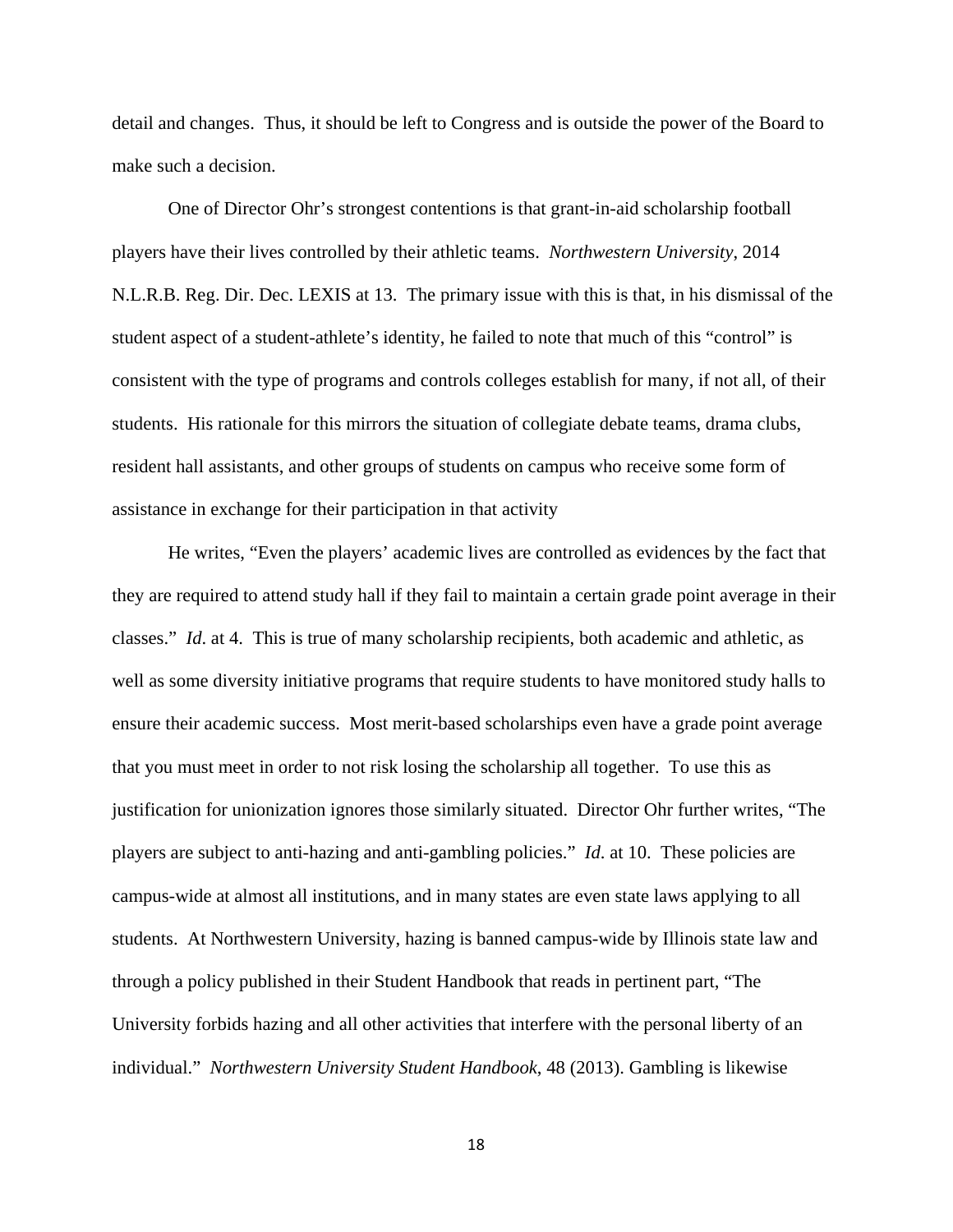detail and changes. Thus, it should be left to Congress and is outside the power of the Board to make such a decision.

One of Director Ohr's strongest contentions is that grant-in-aid scholarship football players have their lives controlled by their athletic teams. *Northwestern University*, 2014 N.L.R.B. Reg. Dir. Dec. LEXIS at 13. The primary issue with this is that, in his dismissal of the student aspect of a student-athlete's identity, he failed to note that much of this "control" is consistent with the type of programs and controls colleges establish for many, if not all, of their students. His rationale for this mirrors the situation of collegiate debate teams, drama clubs, resident hall assistants, and other groups of students on campus who receive some form of assistance in exchange for their participation in that activity

He writes, "Even the players' academic lives are controlled as evidences by the fact that they are required to attend study hall if they fail to maintain a certain grade point average in their classes." *Id*. at 4. This is true of many scholarship recipients, both academic and athletic, as well as some diversity initiative programs that require students to have monitored study halls to ensure their academic success. Most merit-based scholarships even have a grade point average that you must meet in order to not risk losing the scholarship all together. To use this as justification for unionization ignores those similarly situated. Director Ohr further writes, "The players are subject to anti-hazing and anti-gambling policies." *Id*. at 10. These policies are campus-wide at almost all institutions, and in many states are even state laws applying to all students. At Northwestern University, hazing is banned campus-wide by Illinois state law and through a policy published in their Student Handbook that reads in pertinent part, "The University forbids hazing and all other activities that interfere with the personal liberty of an individual." *Northwestern University Student Handbook*, 48 (2013). Gambling is likewise